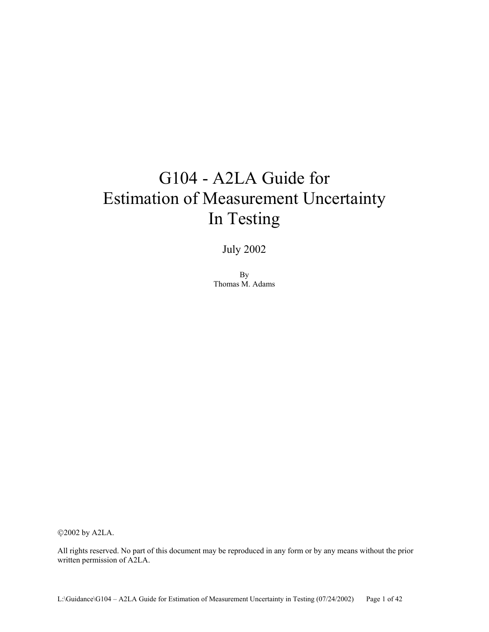# G104 - A2LA Guide for Estimation of Measurement Uncertainty In Testing

July 2002

By Thomas M. Adams

©2002 by A2LA.

All rights reserved. No part of this document may be reproduced in any form or by any means without the prior written permission of A2LA.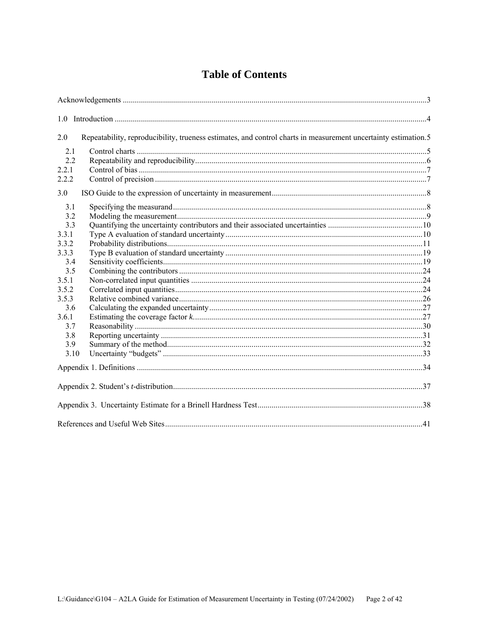# **Table of Contents**

| 2.0   | Repeatability, reproducibility, trueness estimates, and control charts in measurement uncertainty estimation.5 |  |
|-------|----------------------------------------------------------------------------------------------------------------|--|
| 2.1   |                                                                                                                |  |
| 2.2   |                                                                                                                |  |
| 2.2.1 |                                                                                                                |  |
| 2.2.2 |                                                                                                                |  |
| 3.0   |                                                                                                                |  |
| 3.1   |                                                                                                                |  |
| 3.2   |                                                                                                                |  |
| 3.3   |                                                                                                                |  |
| 3.3.1 |                                                                                                                |  |
| 3.3.2 |                                                                                                                |  |
| 3.3.3 |                                                                                                                |  |
| 3.4   |                                                                                                                |  |
| 3.5   |                                                                                                                |  |
| 3.5.1 |                                                                                                                |  |
| 3.5.2 |                                                                                                                |  |
| 3.5.3 |                                                                                                                |  |
| 3.6   |                                                                                                                |  |
| 3.6.1 |                                                                                                                |  |
| 3.7   |                                                                                                                |  |
| 3.8   |                                                                                                                |  |
| 3.9   |                                                                                                                |  |
| 3.10  |                                                                                                                |  |
|       |                                                                                                                |  |
|       |                                                                                                                |  |
|       |                                                                                                                |  |
|       |                                                                                                                |  |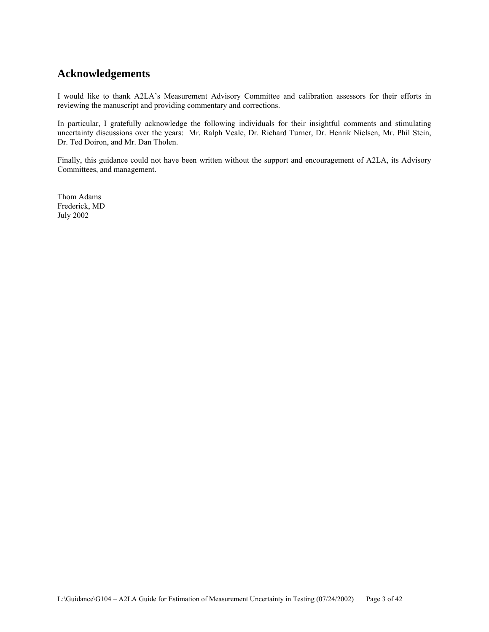# **Acknowledgements**

I would like to thank A2LA's Measurement Advisory Committee and calibration assessors for their efforts in reviewing the manuscript and providing commentary and corrections.

In particular, I gratefully acknowledge the following individuals for their insightful comments and stimulating uncertainty discussions over the years: Mr. Ralph Veale, Dr. Richard Turner, Dr. Henrik Nielsen, Mr. Phil Stein, Dr. Ted Doiron, and Mr. Dan Tholen.

Finally, this guidance could not have been written without the support and encouragement of A2LA, its Advisory Committees, and management.

Thom Adams Frederick, MD July 2002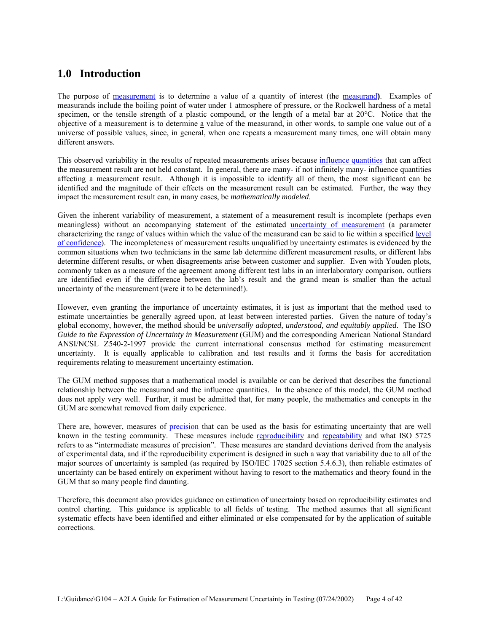# **1.0 Introduction**

The purpose of measurement is to determine a value of a quantity of interest (the measurand**)**. Examples of measurands include the boiling point of water under 1 atmosphere of pressure, or the Rockwell hardness of a metal specimen, or the tensile strength of a plastic compound, or the length of a metal bar at 20°C. Notice that the objective of a measurement is to determine a value of the measurand, in other words, to sample one value out of a universe of possible values, since, in general, when one repeats a measurement many times, one will obtain many different answers.

This observed variability in the results of repeated measurements arises because influence quantities that can affect the measurement result are not held constant. In general, there are many- if not infinitely many- influence quantities affecting a measurement result. Although it is impossible to identify all of them, the most significant can be identified and the magnitude of their effects on the measurement result can be estimated. Further, the way they impact the measurement result can, in many cases, be *mathematically modeled*.

Given the inherent variability of measurement, a statement of a measurement result is incomplete (perhaps even meaningless) without an accompanying statement of the estimated uncertainty of measurement (a parameter characterizing the range of values within which the value of the measurand can be said to lie within a specified level of confidence). The incompleteness of measurement results unqualified by uncertainty estimates is evidenced by the common situations when two technicians in the same lab determine different measurement results, or different labs determine different results, or when disagreements arise between customer and supplier. Even with Youden plots, commonly taken as a measure of the agreement among different test labs in an interlaboratory comparison, outliers are identified even if the difference between the lab's result and the grand mean is smaller than the actual uncertainty of the measurement (were it to be determined!).

However, even granting the importance of uncertainty estimates, it is just as important that the method used to estimate uncertainties be generally agreed upon, at least between interested parties. Given the nature of today's global economy, however, the method should be *universally adopted, understood, and equitably applied*. The ISO *Guide to the Expression of Uncertainty in Measurement* (GUM) and the corresponding American National Standard ANSI/NCSL Z540-2-1997 provide the current international consensus method for estimating measurement uncertainty. It is equally applicable to calibration and test results and it forms the basis for accreditation requirements relating to measurement uncertainty estimation.

The GUM method supposes that a mathematical model is available or can be derived that describes the functional relationship between the measurand and the influence quantities. In the absence of this model, the GUM method does not apply very well. Further, it must be admitted that, for many people, the mathematics and concepts in the GUM are somewhat removed from daily experience.

There are, however, measures of precision that can be used as the basis for estimating uncertainty that are well known in the testing community. These measures include reproducibility and repeatability and what ISO 5725 refers to as "intermediate measures of precision". These measures are standard deviations derived from the analysis of experimental data, and if the reproducibility experiment is designed in such a way that variability due to all of the major sources of uncertainty is sampled (as required by ISO/IEC 17025 section 5.4.6.3), then reliable estimates of uncertainty can be based entirely on experiment without having to resort to the mathematics and theory found in the GUM that so many people find daunting.

Therefore, this document also provides guidance on estimation of uncertainty based on reproducibility estimates and control charting. This guidance is applicable to all fields of testing. The method assumes that all significant systematic effects have been identified and either eliminated or else compensated for by the application of suitable corrections.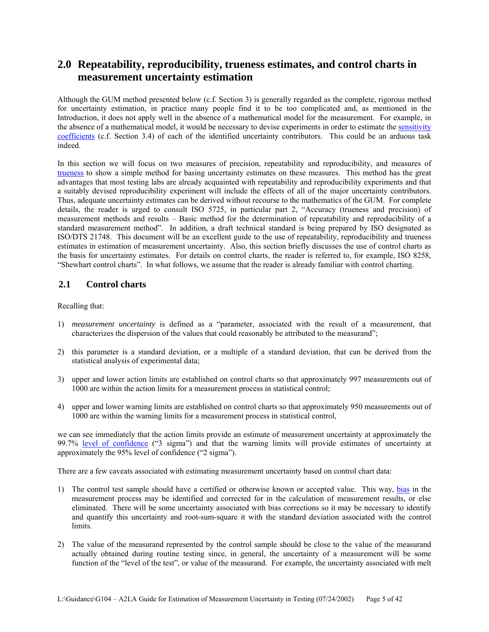# **2.0 Repeatability, reproducibility, trueness estimates, and control charts in measurement uncertainty estimation**

Although the GUM method presented below (c.f. Section 3) is generally regarded as the complete, rigorous method for uncertainty estimation, in practice many people find it to be too complicated and, as mentioned in the Introduction, it does not apply well in the absence of a mathematical model for the measurement. For example, in the absence of a mathematical model, it would be necessary to devise experiments in order to estimate the sensitivity coefficients (c.f. Section 3.4) of each of the identified uncertainty contributors. This could be an arduous task indeed.

In this section we will focus on two measures of precision, repeatability and reproducibility, and measures of trueness to show a simple method for basing uncertainty estimates on these measures. This method has the great advantages that most testing labs are already acquainted with repeatability and reproducibility experiments and that a suitably devised reproducibility experiment will include the effects of all of the major uncertainty contributors. Thus, adequate uncertainty estimates can be derived without recourse to the mathematics of the GUM. For complete details, the reader is urged to consult ISO 5725, in particular part 2, "Accuracy (trueness and precision) of measurement methods and results – Basic method for the determination of repeatability and reproducibility of a standard measurement method". In addition, a draft technical standard is being prepared by ISO designated as ISO/DTS 21748. This document will be an excellent guide to the use of repeatability, reproducibility and trueness estimates in estimation of measurement uncertainty. Also, this section briefly discusses the use of control charts as the basis for uncertainty estimates. For details on control charts, the reader is referred to, for example, ISO 8258, "Shewhart control charts". In what follows, we assume that the reader is already familiar with control charting.

# **2.1 Control charts**

Recalling that:

- 1) *measurement uncertainty* is defined as a "parameter, associated with the result of a measurement, that characterizes the dispersion of the values that could reasonably be attributed to the measurand";
- 2) this parameter is a standard deviation, or a multiple of a standard deviation, that can be derived from the statistical analysis of experimental data;
- 3) upper and lower action limits are established on control charts so that approximately 997 measurements out of 1000 are within the action limits for a measurement process in statistical control;
- 4) upper and lower warning limits are established on control charts so that approximately 950 measurements out of 1000 are within the warning limits for a measurement process in statistical control,

we can see immediately that the action limits provide an estimate of measurement uncertainty at approximately the 99.7% level of confidence ("3 sigma") and that the warning limits will provide estimates of uncertainty at approximately the 95% level of confidence ("2 sigma").

There are a few caveats associated with estimating measurement uncertainty based on control chart data:

- 1) The control test sample should have a certified or otherwise known or accepted value. This way, bias in the measurement process may be identified and corrected for in the calculation of measurement results, or else eliminated. There will be some uncertainty associated with bias corrections so it may be necessary to identify and quantify this uncertainty and root-sum-square it with the standard deviation associated with the control limits.
- 2) The value of the measurand represented by the control sample should be close to the value of the measurand actually obtained during routine testing since, in general, the uncertainty of a measurement will be some function of the "level of the test", or value of the measurand. For example, the uncertainty associated with melt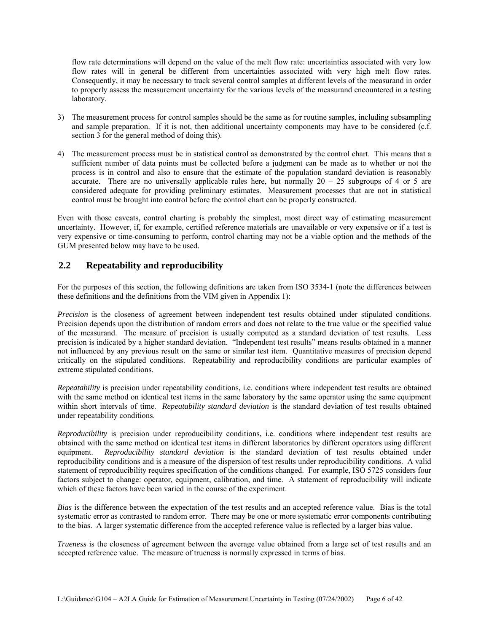flow rate determinations will depend on the value of the melt flow rate: uncertainties associated with very low flow rates will in general be different from uncertainties associated with very high melt flow rates. Consequently, it may be necessary to track several control samples at different levels of the measurand in order to properly assess the measurement uncertainty for the various levels of the measurand encountered in a testing laboratory.

- 3) The measurement process for control samples should be the same as for routine samples, including subsampling and sample preparation. If it is not, then additional uncertainty components may have to be considered (c.f. section 3 for the general method of doing this).
- 4) The measurement process must be in statistical control as demonstrated by the control chart. This means that a sufficient number of data points must be collected before a judgment can be made as to whether or not the process is in control and also to ensure that the estimate of the population standard deviation is reasonably accurate. There are no universally applicable rules here, but normally  $20 - 25$  subgroups of 4 or 5 are considered adequate for providing preliminary estimates. Measurement processes that are not in statistical control must be brought into control before the control chart can be properly constructed.

Even with those caveats, control charting is probably the simplest, most direct way of estimating measurement uncertainty. However, if, for example, certified reference materials are unavailable or very expensive or if a test is very expensive or time-consuming to perform, control charting may not be a viable option and the methods of the GUM presented below may have to be used.

# **2.2 Repeatability and reproducibility**

For the purposes of this section, the following definitions are taken from ISO 3534-1 (note the differences between these definitions and the definitions from the VIM given in Appendix 1):

*Precision* is the closeness of agreement between independent test results obtained under stipulated conditions. Precision depends upon the distribution of random errors and does not relate to the true value or the specified value of the measurand. The measure of precision is usually computed as a standard deviation of test results. Less precision is indicated by a higher standard deviation. "Independent test results" means results obtained in a manner not influenced by any previous result on the same or similar test item. Quantitative measures of precision depend critically on the stipulated conditions. Repeatability and reproducibility conditions are particular examples of extreme stipulated conditions.

*Repeatability* is precision under repeatability conditions, i.e. conditions where independent test results are obtained with the same method on identical test items in the same laboratory by the same operator using the same equipment within short intervals of time. *Repeatability standard deviation* is the standard deviation of test results obtained under repeatability conditions.

*Reproducibility* is precision under reproducibility conditions, i.e. conditions where independent test results are obtained with the same method on identical test items in different laboratories by different operators using different equipment. Reproducibility standard deviation is the standard deviation of test results obtained under Reproducibility standard deviation is the standard deviation of test results obtained under reproducibility conditions and is a measure of the dispersion of test results under reproducibility conditions. A valid statement of reproducibility requires specification of the conditions changed. For example, ISO 5725 considers four factors subject to change: operator, equipment, calibration, and time. A statement of reproducibility will indicate which of these factors have been varied in the course of the experiment.

*Bias* is the difference between the expectation of the test results and an accepted reference value. Bias is the total systematic error as contrasted to random error. There may be one or more systematic error components contributing to the bias. A larger systematic difference from the accepted reference value is reflected by a larger bias value.

*Trueness* is the closeness of agreement between the average value obtained from a large set of test results and an accepted reference value. The measure of trueness is normally expressed in terms of bias.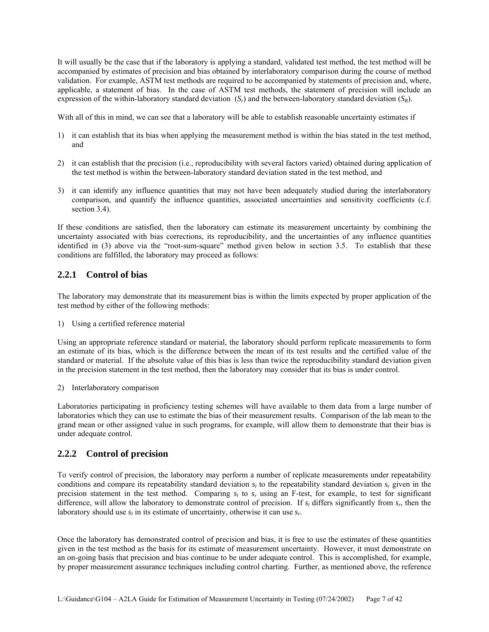It will usually be the case that if the laboratory is applying a standard, validated test method, the test method will be accompanied by estimates of precision and bias obtained by interlaboratory comparison during the course of method validation. For example, ASTM test methods are required to be accompanied by statements of precision and, where, applicable, a statement of bias. In the case of ASTM test methods, the statement of precision will include an expression of the within-laboratory standard deviation  $(S_r)$  and the between-laboratory standard deviation  $(S_R)$ .

With all of this in mind, we can see that a laboratory will be able to establish reasonable uncertainty estimates if

- 1) it can establish that its bias when applying the measurement method is within the bias stated in the test method, and
- 2) it can establish that the precision (i.e., reproducibility with several factors varied) obtained during application of the test method is within the between-laboratory standard deviation stated in the test method, and
- 3) it can identify any influence quantities that may not have been adequately studied during the interlaboratory comparison, and quantify the influence quantities, associated uncertainties and sensitivity coefficients (c.f. section 3.4).

If these conditions are satisfied, then the laboratory can estimate its measurement uncertainty by combining the uncertainty associated with bias corrections, its reproducibility, and the uncertainties of any influence quantities identified in (3) above via the "root-sum-square" method given below in section 3.5. To establish that these conditions are fulfilled, the laboratory may proceed as follows:

# **2.2.1 Control of bias**

The laboratory may demonstrate that its measurement bias is within the limits expected by proper application of the test method by either of the following methods:

1) Using a certified reference material

Using an appropriate reference standard or material, the laboratory should perform replicate measurements to form an estimate of its bias, which is the difference between the mean of its test results and the certified value of the standard or material. If the absolute value of this bias is less than twice the reproducibility standard deviation given in the precision statement in the test method, then the laboratory may consider that its bias is under control.

2) Interlaboratory comparison

Laboratories participating in proficiency testing schemes will have available to them data from a large number of laboratories which they can use to estimate the bias of their measurement results. Comparison of the lab mean to the grand mean or other assigned value in such programs, for example, will allow them to demonstrate that their bias is under adequate control.

# **2.2.2 Control of precision**

To verify control of precision, the laboratory may perform a number of replicate measurements under repeatability conditions and compare its repeatability standard deviation  $s_i$  to the repeatability standard deviation  $s_i$  given in the precision statement in the test method. Comparing  $s_l$  to  $s_r$  using an F-test, for example, to test for significant difference, will allow the laboratory to demonstrate control of precision. If  $s_l$  differs significantly from  $s_r$ , then the laboratory should use  $s_l$  in its estimate of uncertainty, otherwise it can use  $s_r$ .

Once the laboratory has demonstrated control of precision and bias, it is free to use the estimates of these quantities given in the test method as the basis for its estimate of measurement uncertainty. However, it must demonstrate on an on-going basis that precision and bias continue to be under adequate control. This is accomplished, for example, by proper measurement assurance techniques including control charting. Further, as mentioned above, the reference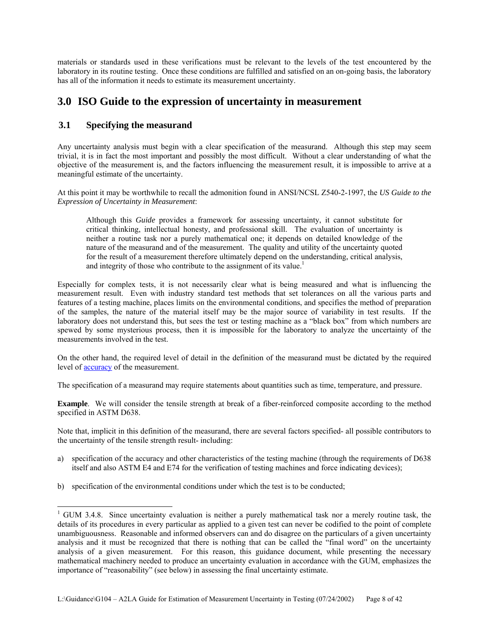materials or standards used in these verifications must be relevant to the levels of the test encountered by the laboratory in its routine testing. Once these conditions are fulfilled and satisfied on an on-going basis, the laboratory has all of the information it needs to estimate its measurement uncertainty.

# **3.0 ISO Guide to the expression of uncertainty in measurement**

# **3.1 Specifying the measurand**

 $\overline{a}$ 

Any uncertainty analysis must begin with a clear specification of the measurand. Although this step may seem trivial, it is in fact the most important and possibly the most difficult. Without a clear understanding of what the objective of the measurement is, and the factors influencing the measurement result, it is impossible to arrive at a meaningful estimate of the uncertainty.

At this point it may be worthwhile to recall the admonition found in ANSI/NCSL Z540-2-1997, the *US Guide to the Expression of Uncertainty in Measurement*:

Although this *Guide* provides a framework for assessing uncertainty, it cannot substitute for critical thinking, intellectual honesty, and professional skill. The evaluation of uncertainty is neither a routine task nor a purely mathematical one; it depends on detailed knowledge of the nature of the measurand and of the measurement. The quality and utility of the uncertainty quoted for the result of a measurement therefore ultimately depend on the understanding, critical analysis, and integrity of those who contribute to the assignment of its value.<sup>1</sup>

Especially for complex tests, it is not necessarily clear what is being measured and what is influencing the measurement result. Even with industry standard test methods that set tolerances on all the various parts and features of a testing machine, places limits on the environmental conditions, and specifies the method of preparation of the samples, the nature of the material itself may be the major source of variability in test results. If the laboratory does not understand this, but sees the test or testing machine as a "black box" from which numbers are spewed by some mysterious process, then it is impossible for the laboratory to analyze the uncertainty of the measurements involved in the test.

On the other hand, the required level of detail in the definition of the measurand must be dictated by the required level of accuracy of the measurement.

The specification of a measurand may require statements about quantities such as time, temperature, and pressure.

**Example**. We will consider the tensile strength at break of a fiber-reinforced composite according to the method specified in ASTM D638.

Note that, implicit in this definition of the measurand, there are several factors specified- all possible contributors to the uncertainty of the tensile strength result- including:

- a) specification of the accuracy and other characteristics of the testing machine (through the requirements of D638 itself and also ASTM E4 and E74 for the verification of testing machines and force indicating devices);
- b) specification of the environmental conditions under which the test is to be conducted;

<sup>&</sup>lt;sup>1</sup> GUM 3.4.8. Since uncertainty evaluation is neither a purely mathematical task nor a merely routine task, the details of its procedures in every particular as applied to a given test can never be codified to the point of complete unambiguousness. Reasonable and informed observers can and do disagree on the particulars of a given uncertainty analysis and it must be recognized that there is nothing that can be called the "final word" on the uncertainty analysis of a given measurement. For this reason, this guidance document, while presenting the necessary mathematical machinery needed to produce an uncertainty evaluation in accordance with the GUM, emphasizes the importance of "reasonability" (see below) in assessing the final uncertainty estimate.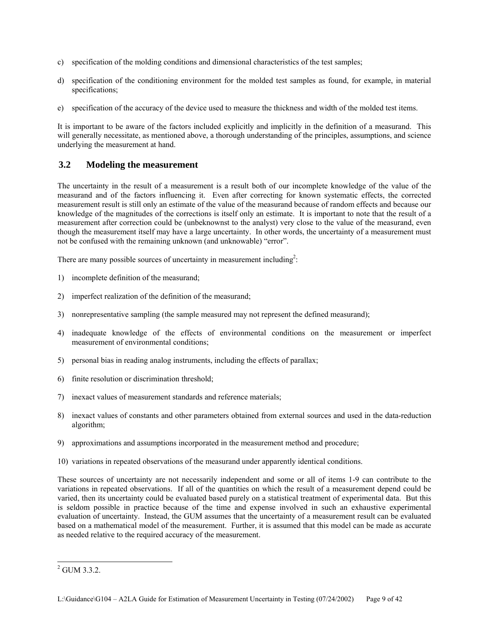- c) specification of the molding conditions and dimensional characteristics of the test samples;
- d) specification of the conditioning environment for the molded test samples as found, for example, in material specifications;
- e) specification of the accuracy of the device used to measure the thickness and width of the molded test items.

It is important to be aware of the factors included explicitly and implicitly in the definition of a measurand. This will generally necessitate, as mentioned above, a thorough understanding of the principles, assumptions, and science underlying the measurement at hand.

# **3.2 Modeling the measurement**

The uncertainty in the result of a measurement is a result both of our incomplete knowledge of the value of the measurand and of the factors influencing it. Even after correcting for known systematic effects, the corrected measurement result is still only an estimate of the value of the measurand because of random effects and because our knowledge of the magnitudes of the corrections is itself only an estimate. It is important to note that the result of a measurement after correction could be (unbeknownst to the analyst) very close to the value of the measurand, even though the measurement itself may have a large uncertainty. In other words, the uncertainty of a measurement must not be confused with the remaining unknown (and unknowable) "error".

There are many possible sources of uncertainty in measurement including<sup>2</sup>:

- 1) incomplete definition of the measurand;
- 2) imperfect realization of the definition of the measurand;
- 3) nonrepresentative sampling (the sample measured may not represent the defined measurand);
- 4) inadequate knowledge of the effects of environmental conditions on the measurement or imperfect measurement of environmental conditions;
- 5) personal bias in reading analog instruments, including the effects of parallax;
- 6) finite resolution or discrimination threshold;
- 7) inexact values of measurement standards and reference materials;
- 8) inexact values of constants and other parameters obtained from external sources and used in the data-reduction algorithm;
- 9) approximations and assumptions incorporated in the measurement method and procedure;
- 10) variations in repeated observations of the measurand under apparently identical conditions.

These sources of uncertainty are not necessarily independent and some or all of items 1-9 can contribute to the variations in repeated observations. If all of the quantities on which the result of a measurement depend could be varied, then its uncertainty could be evaluated based purely on a statistical treatment of experimental data. But this is seldom possible in practice because of the time and expense involved in such an exhaustive experimental evaluation of uncertainty. Instead, the GUM assumes that the uncertainty of a measurement result can be evaluated based on a mathematical model of the measurement. Further, it is assumed that this model can be made as accurate as needed relative to the required accuracy of the measurement.

 $\overline{\phantom{a}}$  $^{2}$  GUM 3.3.2.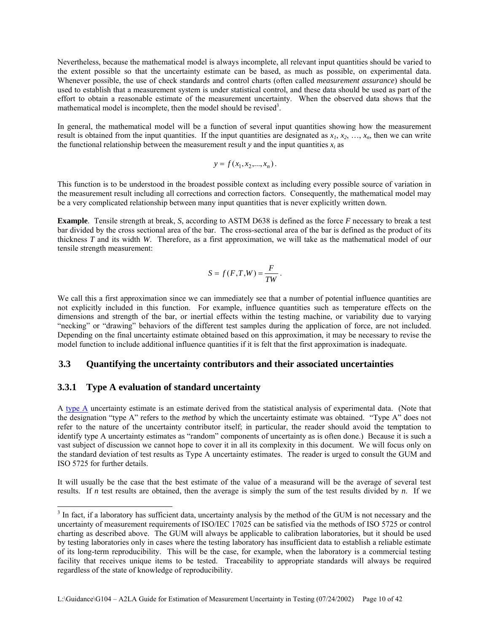Nevertheless, because the mathematical model is always incomplete, all relevant input quantities should be varied to the extent possible so that the uncertainty estimate can be based, as much as possible, on experimental data. Whenever possible, the use of check standards and control charts (often called *measurement assurance*) should be used to establish that a measurement system is under statistical control, and these data should be used as part of the effort to obtain a reasonable estimate of the measurement uncertainty. When the observed data shows that the mathematical model is incomplete, then the model should be revised<sup>3</sup>.

In general, the mathematical model will be a function of several input quantities showing how the measurement result is obtained from the input quantities. If the input quantities are designated as  $x_1, x_2, \ldots, x_n$ , then we can write the functional relationship between the measurement result *y* and the input quantities  $x_i$  as

$$
y = f(x_1, x_2, ..., x_n).
$$

This function is to be understood in the broadest possible context as including every possible source of variation in the measurement result including all corrections and correction factors. Consequently, the mathematical model may be a very complicated relationship between many input quantities that is never explicitly written down.

**Example**. Tensile strength at break, *S*, according to ASTM D638 is defined as the force *F* necessary to break a test bar divided by the cross sectional area of the bar. The cross-sectional area of the bar is defined as the product of its thickness *T* and its width *W*. Therefore, as a first approximation, we will take as the mathematical model of our tensile strength measurement:

$$
S = f(F,T,W) = \frac{F}{TW}.
$$

We call this a first approximation since we can immediately see that a number of potential influence quantities are not explicitly included in this function. For example, influence quantities such as temperature effects on the dimensions and strength of the bar, or inertial effects within the testing machine, or variability due to varying "necking" or "drawing" behaviors of the different test samples during the application of force, are not included. Depending on the final uncertainty estimate obtained based on this approximation, it may be necessary to revise the model function to include additional influence quantities if it is felt that the first approximation is inadequate.

### **3.3 Quantifying the uncertainty contributors and their associated uncertainties**

### **3.3.1 Type A evaluation of standard uncertainty**

-

A type A uncertainty estimate is an estimate derived from the statistical analysis of experimental data. (Note that the designation "type A" refers to the *method* by which the uncertainty estimate was obtained. "Type A" does not refer to the nature of the uncertainty contributor itself; in particular, the reader should avoid the temptation to identify type A uncertainty estimates as "random" components of uncertainty as is often done.) Because it is such a vast subject of discussion we cannot hope to cover it in all its complexity in this document. We will focus only on the standard deviation of test results as Type A uncertainty estimates. The reader is urged to consult the GUM and ISO 5725 for further details.

It will usually be the case that the best estimate of the value of a measurand will be the average of several test results. If *n* test results are obtained, then the average is simply the sum of the test results divided by *n*. If we

 $3$  In fact, if a laboratory has sufficient data, uncertainty analysis by the method of the GUM is not necessary and the uncertainty of measurement requirements of ISO/IEC 17025 can be satisfied via the methods of ISO 5725 or control charting as described above. The GUM will always be applicable to calibration laboratories, but it should be used by testing laboratories only in cases where the testing laboratory has insufficient data to establish a reliable estimate of its long-term reproducibility. This will be the case, for example, when the laboratory is a commercial testing facility that receives unique items to be tested. Traceability to appropriate standards will always be required regardless of the state of knowledge of reproducibility.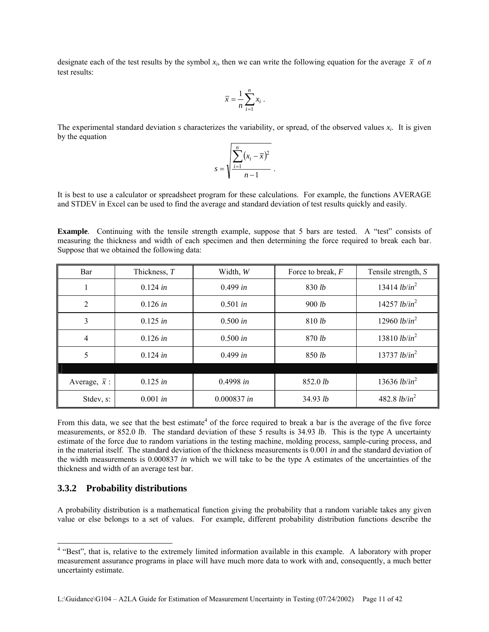designate each of the test results by the symbol  $x_i$ , then we can write the following equation for the average  $\bar{x}$  of *n* test results:

$$
\overline{x} = \frac{1}{n} \sum_{i=1}^{n} x_i \; .
$$

The experimental standard deviation  $s$  characterizes the variability, or spread, of the observed values  $x_i$ . It is given by the equation

$$
s = \sqrt{\frac{\sum_{i=1}^{n} (x_i - \overline{x})^2}{n-1}}.
$$

It is best to use a calculator or spreadsheet program for these calculations. For example, the functions AVERAGE and STDEV in Excel can be used to find the average and standard deviation of test results quickly and easily.

**Example**. Continuing with the tensile strength example, suppose that 5 bars are tested. A "test" consists of measuring the thickness and width of each specimen and then determining the force required to break each bar. Suppose that we obtained the following data:

| Bar                  | Thickness, T | Width, W           | Force to break, $F$ | Tensile strength, S             |  |
|----------------------|--------------|--------------------|---------------------|---------------------------------|--|
|                      | $0.124$ in   | 0.499 in           | 830 lb              | 13414 <i>lb/in</i> <sup>2</sup> |  |
| 2                    | 0.126 in     | $0.501$ in         | 900 lb              |                                 |  |
| 3                    | 0.125 in     | 0.500 in<br>810 lb |                     | 12960 <i>lb/in</i> <sup>2</sup> |  |
| 4                    | 0.126 in     | 0.500 in           | 870 lb              | 13810 <i>lb/in</i> <sup>2</sup> |  |
| 5                    | $0.124$ in   | 0.499 in           | 850 lb              | 13737 <i>lb/in</i> <sup>2</sup> |  |
|                      |              |                    |                     |                                 |  |
| Average, $\bar{x}$ : | 0.125 in     | 0.4998 in          | 852.0 lb            | 13636 <i>lb/in</i> <sup>2</sup> |  |
| Stdev, $s$ :         | 0.001 in     | 0.000837 in        | 34.93 lb            | 482.8 $lb/in^2$                 |  |

From this data, we see that the best estimate<sup>4</sup> of the force required to break a bar is the average of the five force measurements, or 852.0 *lb*. The standard deviation of these 5 results is 34.93 *lb*. This is the type A uncertainty estimate of the force due to random variations in the testing machine, molding process, sample-curing process, and in the material itself. The standard deviation of the thickness measurements is 0.001 *in* and the standard deviation of the width measurements is 0.000837 *in* which we will take to be the type A estimates of the uncertainties of the thickness and width of an average test bar.

#### **3.3.2 Probability distributions**

A probability distribution is a mathematical function giving the probability that a random variable takes any given value or else belongs to a set of values. For example, different probability distribution functions describe the

<sup>&</sup>lt;sup>4</sup> "Best", that is, relative to the extremely limited information available in this example. A laboratory with proper measurement assurance programs in place will have much more data to work with and, consequently, a much better uncertainty estimate.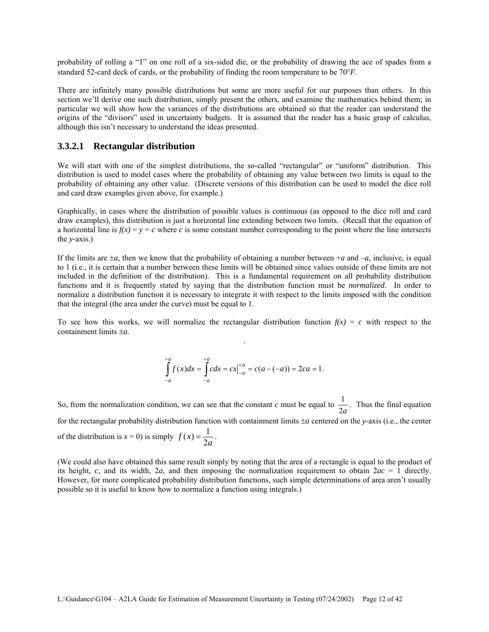probability of rolling a "1" on one roll of a six-sided die, or the probability of drawing the ace of spades from a standard 52-card deck of cards, or the probability of finding the room temperature to be 70°*F*.

There are infinitely many possible distributions but some are more useful for our purposes than others. In this section we'll derive one such distribution, simply present the others, and examine the mathematics behind them; in particular we will show how the variances of the distributions are obtained so that the reader can understand the origins of the "divisors" used in uncertainty budgets. It is assumed that the reader has a basic grasp of calculus, although this isn't necessary to understand the ideas presented.

### **3.3.2.1 Rectangular distribution**

We will start with one of the simplest distributions, the so-called "rectangular" or "uniform" distribution. This distribution is used to model cases where the probability of obtaining any value between two limits is equal to the probability of obtaining any other value. (Discrete versions of this distribution can be used to model the dice roll and card draw examples given above, for example.)

Graphically, in cases where the distribution of possible values is continuous (as opposed to the dice roll and card draw examples), this distribution is just a horizontal line extending between two limits. (Recall that the equation of a horizontal line is  $f(x) = y = c$  where *c* is some constant number corresponding to the point where the line intersects the *y*-axis.)

If the limits are  $\pm a$ , then we know that the probability of obtaining a number between  $+a$  and  $-a$ , inclusive, is equal to 1 (i.e., it is certain that a number between these limits will be obtained since values outside of these limits are not included in the definition of the distribution). This is a fundamental requirement on all probability distribution functions and it is frequently stated by saying that the distribution function must be *normalized*. In order to normalize a distribution function it is necessary to integrate it with respect to the limits imposed with the condition that the integral (the area under the curve) must be equal to 1.

To see how this works, we will normalize the rectangular distribution function  $f(x) = c$  with respect to the containment limits ±*a*. .

$$
\int_{-a}^{+a} f(x)dx = \int_{-a}^{+a} cdx = cx\Big|_{-a}^{+a} = c(a - (-a)) = 2ca = 1.
$$

So, from the normalization condition, we can see that the constant *c* must be equal to  $\frac{1}{2a}$ . Thus the final equation for the rectangular probability distribution function with containment limits ±*a* centered on the *y*-axis (i.e., the center of the distribution is  $x = 0$ ) is simply  $f(x) = \frac{1}{2a}$ .

(We could also have obtained this same result simply by noting that the area of a rectangle is equal to the product of its height, *c*, and its width, 2*a*, and then imposing the normalization requirement to obtain  $2ac = 1$  directly. However, for more complicated probability distribution functions, such simple determinations of area aren't usually possible so it is useful to know how to normalize a function using integrals.)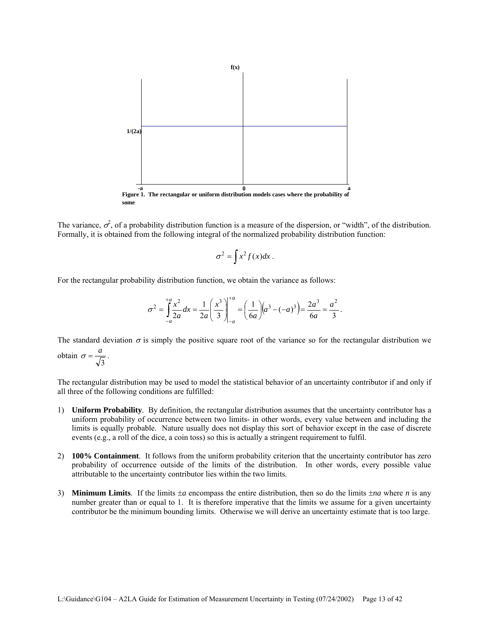

The variance,  $\sigma^2$ , of a probability distribution function is a measure of the dispersion, or "width", of the distribution. Formally, it is obtained from the following integral of the normalized probability distribution function:

$$
\sigma^2 = \int x^2 f(x) dx.
$$

For the rectangular probability distribution function, we obtain the variance as follows:

$$
\sigma^2 = \int_{-a}^{+a} \frac{x^2}{2a} dx = \frac{1}{2a} \left(\frac{x^3}{3}\right)\Big|_{-a}^{+a} = \left(\frac{1}{6a}\right) \left(a^3 - (-a)^3\right) = \frac{2a^3}{6a} = \frac{a^2}{3}.
$$

The standard deviation  $\sigma$  is simply the positive square root of the variance so for the rectangular distribution we obtain 3  $\sigma = \frac{a}{\sqrt{a}}$ .

The rectangular distribution may be used to model the statistical behavior of an uncertainty contributor if and only if all three of the following conditions are fulfilled:

- 1) **Uniform Probability**. By definition, the rectangular distribution assumes that the uncertainty contributor has a uniform probability of occurrence between two limits- in other words, every value between and including the limits is equally probable. Nature usually does not display this sort of behavior except in the case of discrete events (e.g., a roll of the dice, a coin toss) so this is actually a stringent requirement to fulfil.
- 2) **100% Containment**. It follows from the uniform probability criterion that the uncertainty contributor has zero probability of occurrence outside of the limits of the distribution. In other words, every possible value attributable to the uncertainty contributor lies within the two limits.
- 3) **Minimum Limits**. If the limits  $\pm a$  encompass the entire distribution, then so do the limits  $\pm na$  where *n* is any number greater than or equal to 1. It is therefore imperative that the limits we assume for a given uncertainty contributor be the minimum bounding limits. Otherwise we will derive an uncertainty estimate that is too large.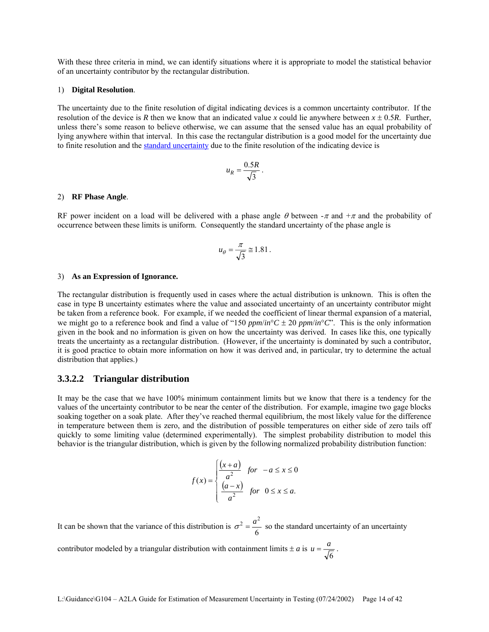With these three criteria in mind, we can identify situations where it is appropriate to model the statistical behavior of an uncertainty contributor by the rectangular distribution.

#### 1) **Digital Resolution**.

The uncertainty due to the finite resolution of digital indicating devices is a common uncertainty contributor. If the resolution of the device is *R* then we know that an indicated value *x* could lie anywhere between  $x \pm 0.5R$ . Further, unless there's some reason to believe otherwise, we can assume that the sensed value has an equal probability of lying anywhere within that interval. In this case the rectangular distribution is a good model for the uncertainty due to finite resolution and the standard uncertainty due to the finite resolution of the indicating device is

$$
u_R = \frac{0.5R}{\sqrt{3}}.
$$

#### 2) **RF Phase Angle**.

RF power incident on a load will be delivered with a phase angle  $\theta$  between  $-\pi$  and  $+\pi$  and the probability of occurrence between these limits is uniform. Consequently the standard uncertainty of the phase angle is

$$
u_{\theta} = \frac{\pi}{\sqrt{3}} \approx 1.81 \, .
$$

#### 3) **As an Expression of Ignorance.**

The rectangular distribution is frequently used in cases where the actual distribution is unknown. This is often the case in type B uncertainty estimates where the value and associated uncertainty of an uncertainty contributor might be taken from a reference book. For example, if we needed the coefficient of linear thermal expansion of a material, we might go to a reference book and find a value of "150  $ppm/in$ °C  $\pm$  20  $ppm/in$ °C". This is the only information given in the book and no information is given on how the uncertainty was derived. In cases like this, one typically treats the uncertainty as a rectangular distribution. (However, if the uncertainty is dominated by such a contributor, it is good practice to obtain more information on how it was derived and, in particular, try to determine the actual distribution that applies.)

#### **3.3.2.2 Triangular distribution**

It may be the case that we have 100% minimum containment limits but we know that there is a tendency for the values of the uncertainty contributor to be near the center of the distribution. For example, imagine two gage blocks soaking together on a soak plate. After they've reached thermal equilibrium, the most likely value for the difference in temperature between them is zero, and the distribution of possible temperatures on either side of zero tails off quickly to some limiting value (determined experimentally). The simplest probability distribution to model this behavior is the triangular distribution, which is given by the following normalized probability distribution function:

$$
f(x) = \begin{cases} \frac{(x+a)}{a^2} & \text{for } -a \le x \le 0\\ \frac{(a-x)}{a^2} & \text{for } 0 \le x \le a. \end{cases}
$$

It can be shown that the variance of this distribution is  $\sigma^2 = \frac{a}{6}$  $\sigma^2 = \frac{a^2}{\sigma^2}$  so the standard uncertainty of an uncertainty

contributor modeled by a triangular distribution with containment limits  $\pm a$  is 6  $u = \frac{a}{\sqrt{a}}$ .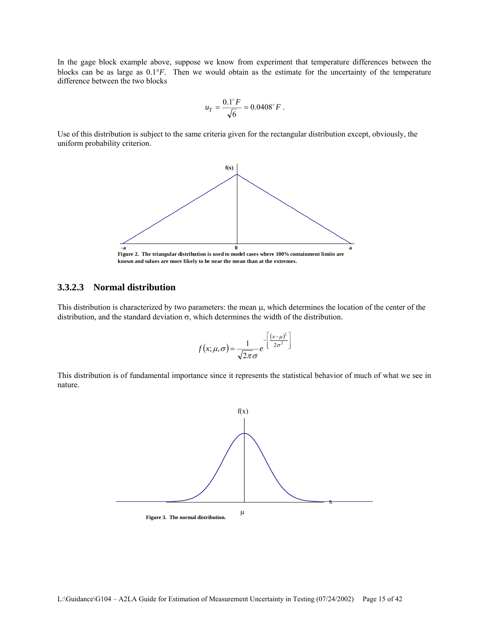In the gage block example above, suppose we know from experiment that temperature differences between the blocks can be as large as 0.1°*F*. Then we would obtain as the estimate for the uncertainty of the temperature difference between the two blocks

$$
u_T = \frac{0.1^\circ F}{\sqrt{6}} = 0.0408^\circ F.
$$

Use of this distribution is subject to the same criteria given for the rectangular distribution except, obviously, the uniform probability criterion.



**known and values are more likely to be near the mean than at the extremes.**

#### **3.3.2.3 Normal distribution**

This distribution is characterized by two parameters: the mean μ, which determines the location of the center of the distribution, and the standard deviation  $\sigma$ , which determines the width of the distribution.

$$
f(x; \mu, \sigma) = \frac{1}{\sqrt{2\pi}\sigma} e^{-\left[\frac{(x-\mu)^2}{2\sigma^2}\right]}
$$

This distribution is of fundamental importance since it represents the statistical behavior of much of what we see in nature.

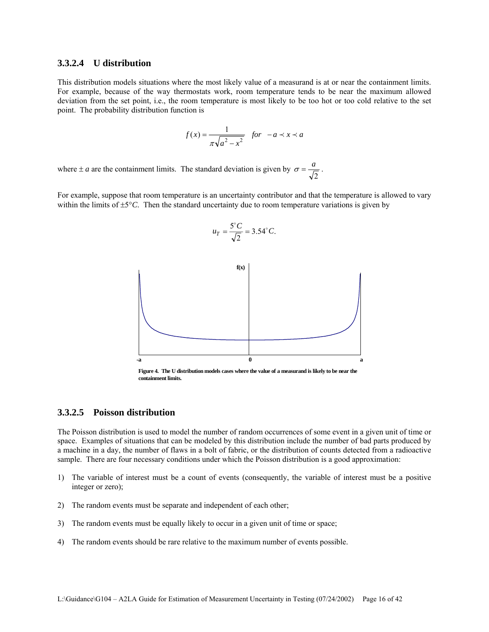#### **3.3.2.4 U distribution**

This distribution models situations where the most likely value of a measurand is at or near the containment limits. For example, because of the way thermostats work, room temperature tends to be near the maximum allowed deviation from the set point, i.e., the room temperature is most likely to be too hot or too cold relative to the set point. The probability distribution function is

$$
f(x) = \frac{1}{\pi \sqrt{a^2 - x^2}} \quad \text{for} \quad -a \prec x \prec a
$$

where  $\pm a$  are the containment limits. The standard deviation is given by  $\sigma = \frac{a}{\sqrt{2}}$ .

For example, suppose that room temperature is an uncertainty contributor and that the temperature is allowed to vary within the limits of  $\pm 5^{\circ}$ C. Then the standard uncertainty due to room temperature variations is given by

$$
u_T = \frac{5^{\circ} C}{\sqrt{2}} = 3.54^{\circ} C.
$$



**Figure 4. The U distribution models cases where the value of a measurand is likely to be near the containment limits.**

#### **3.3.2.5 Poisson distribution**

The Poisson distribution is used to model the number of random occurrences of some event in a given unit of time or space. Examples of situations that can be modeled by this distribution include the number of bad parts produced by a machine in a day, the number of flaws in a bolt of fabric, or the distribution of counts detected from a radioactive sample. There are four necessary conditions under which the Poisson distribution is a good approximation:

- 1) The variable of interest must be a count of events (consequently, the variable of interest must be a positive integer or zero);
- 2) The random events must be separate and independent of each other;
- 3) The random events must be equally likely to occur in a given unit of time or space;
- 4) The random events should be rare relative to the maximum number of events possible.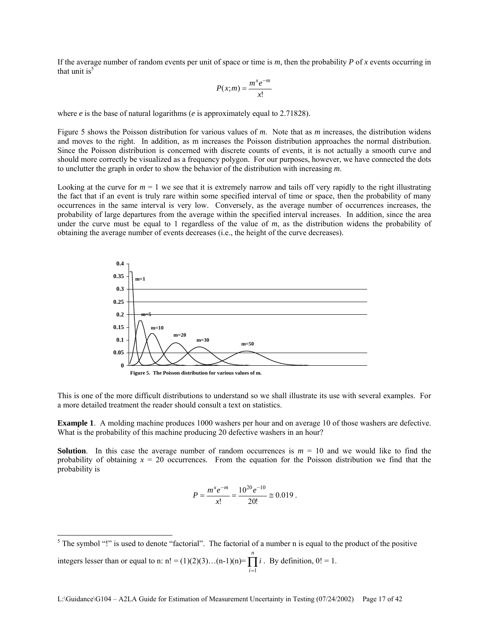If the average number of random events per unit of space or time is  $m$ , then the probability  $P$  of  $x$  events occurring in that unit is $<sup>5</sup>$ </sup>

$$
P(x;m) = \frac{m^x e^{-m}}{x!}
$$

where *e* is the base of natural logarithms (*e* is approximately equal to 2.71828).

Figure 5 shows the Poisson distribution for various values of *m*. Note that as *m* increases, the distribution widens and moves to the right. In addition, as m increases the Poisson distribution approaches the normal distribution. Since the Poisson distribution is concerned with discrete counts of events, it is not actually a smooth curve and should more correctly be visualized as a frequency polygon. For our purposes, however, we have connected the dots to unclutter the graph in order to show the behavior of the distribution with increasing *m*.

Looking at the curve for  $m = 1$  we see that it is extremely narrow and tails off very rapidly to the right illustrating the fact that if an event is truly rare within some specified interval of time or space, then the probability of many occurrences in the same interval is very low. Conversely, as the average number of occurrences increases, the probability of large departures from the average within the specified interval increases. In addition, since the area under the curve must be equal to 1 regardless of the value of *m*, as the distribution widens the probability of obtaining the average number of events decreases (i.e., the height of the curve decreases).



This is one of the more difficult distributions to understand so we shall illustrate its use with several examples. For a more detailed treatment the reader should consult a text on statistics.

**Example 1**. A molding machine produces 1000 washers per hour and on average 10 of those washers are defective. What is the probability of this machine producing 20 defective washers in an hour?

**Solution**. In this case the average number of random occurrences is  $m = 10$  and we would like to find the probability of obtaining  $x = 20$  occurrences. From the equation for the Poisson distribution we find that the probability is

$$
P = \frac{m^x e^{-m}}{x!} = \frac{10^{20} e^{-10}}{20!} \approx 0.019.
$$

 $\overline{\phantom{a}}$ <sup>5</sup> The symbol "!" is used to denote "factorial". The factorial of a number n is equal to the product of the positive integers lesser than or equal to n: n! =  $(1)(2)(3)...(n-1)(n) = \prod i$ *n*  $\prod_{i=1} i$ . By definition,  $0! = 1$ .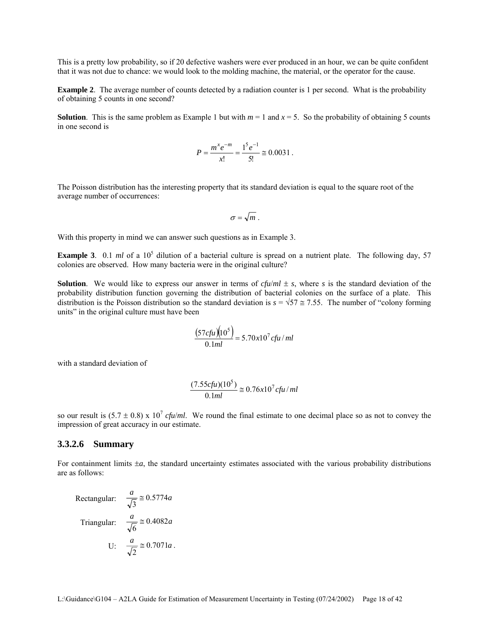This is a pretty low probability, so if 20 defective washers were ever produced in an hour, we can be quite confident that it was not due to chance: we would look to the molding machine, the material, or the operator for the cause.

**Example 2.** The average number of counts detected by a radiation counter is 1 per second. What is the probability of obtaining 5 counts in one second?

**Solution**. This is the same problem as Example 1 but with  $m = 1$  and  $x = 5$ . So the probability of obtaining 5 counts in one second is

$$
P = \frac{m^x e^{-m}}{x!} = \frac{1^5 e^{-1}}{5!} \approx 0.0031.
$$

The Poisson distribution has the interesting property that its standard deviation is equal to the square root of the average number of occurrences:

$$
\sigma=\sqrt{m}.
$$

With this property in mind we can answer such questions as in Example 3.

**Example 3**. 0.1  $ml$  of a 10<sup>5</sup> dilution of a bacterial culture is spread on a nutrient plate. The following day, 57 colonies are observed. How many bacteria were in the original culture?

**Solution**. We would like to express our answer in terms of  $cfu/ml \pm s$ , where *s* is the standard deviation of the probability distribution function governing the distribution of bacterial colonies on the surface of a plate. This distribution is the Poisson distribution so the standard deviation is  $s = \sqrt{57} \approx 7.55$ . The number of "colony forming" units" in the original culture must have been

$$
\frac{(57cftu)(10^5)}{0.1ml} = 5.70x10^7cftu/ml
$$

with a standard deviation of

$$
\frac{(7.55cfu)(10^5)}{0.1ml} \cong 0.76x10^7cfu/ml
$$

so our result is  $(5.7 \pm 0.8) \times 10^7$  *cfu/ml*. We round the final estimate to one decimal place so as not to convey the impression of great accuracy in our estimate.

#### **3.3.2.6 Summary**

For containment limits ±*a*, the standard uncertainty estimates associated with the various probability distributions are as follows:

Rectangular: 
$$
\frac{a}{\sqrt{3}} \approx 0.5774a
$$
  
Triangular:  $\frac{a}{\sqrt{6}} \approx 0.4082a$   
U:  $\frac{a}{\sqrt{2}} \approx 0.7071a$ .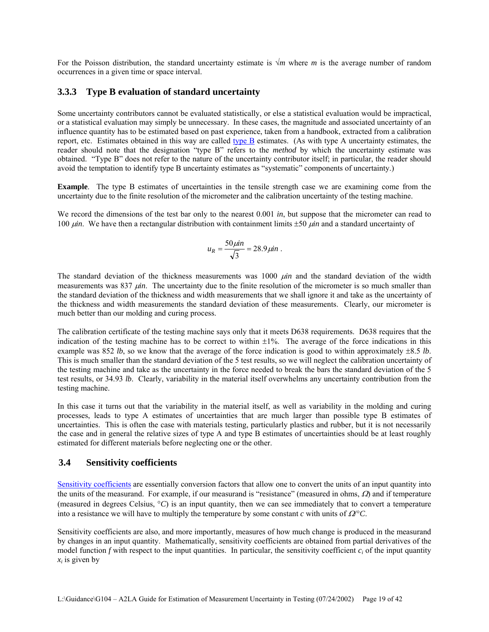For the Poisson distribution, the standard uncertainty estimate is √*m* where *m* is the average number of random occurrences in a given time or space interval.

### **3.3.3 Type B evaluation of standard uncertainty**

Some uncertainty contributors cannot be evaluated statistically, or else a statistical evaluation would be impractical, or a statistical evaluation may simply be unnecessary. In these cases, the magnitude and associated uncertainty of an influence quantity has to be estimated based on past experience, taken from a handbook, extracted from a calibration report, etc. Estimates obtained in this way are called  $\frac{1}{\text{type }B}$  estimates. (As with type A uncertainty estimates, the reader should note that the designation "type B" refers to the *method* by which the uncertainty estimate was obtained. "Type B" does not refer to the nature of the uncertainty contributor itself; in particular, the reader should avoid the temptation to identify type B uncertainty estimates as "systematic" components of uncertainty.)

**Example**. The type B estimates of uncertainties in the tensile strength case we are examining come from the uncertainty due to the finite resolution of the micrometer and the calibration uncertainty of the testing machine.

We record the dimensions of the test bar only to the nearest 0.001 *in*, but suppose that the micrometer can read to 100 μ*in*. We have then a rectangular distribution with containment limits ±50 μ*in* and a standard uncertainty of

$$
u_R = \frac{50 \mu \text{in}}{\sqrt{3}} = 28.9 \mu \text{in}.
$$

The standard deviation of the thickness measurements was 1000 μ*in* and the standard deviation of the width measurements was 837 *μin*. The uncertainty due to the finite resolution of the micrometer is so much smaller than the standard deviation of the thickness and width measurements that we shall ignore it and take as the uncertainty of the thickness and width measurements the standard deviation of these measurements. Clearly, our micrometer is much better than our molding and curing process.

The calibration certificate of the testing machine says only that it meets D638 requirements. D638 requires that the indication of the testing machine has to be correct to within ±1%. The average of the force indications in this example was 852 *lb*, so we know that the average of the force indication is good to within approximately  $\pm 8.5$  *lb*. This is much smaller than the standard deviation of the 5 test results, so we will neglect the calibration uncertainty of the testing machine and take as the uncertainty in the force needed to break the bars the standard deviation of the 5 test results, or 34.93 *lb*. Clearly, variability in the material itself overwhelms any uncertainty contribution from the testing machine.

In this case it turns out that the variability in the material itself, as well as variability in the molding and curing processes, leads to type A estimates of uncertainties that are much larger than possible type B estimates of uncertainties. This is often the case with materials testing, particularly plastics and rubber, but it is not necessarily the case and in general the relative sizes of type A and type B estimates of uncertainties should be at least roughly estimated for different materials before neglecting one or the other.

#### **3.4 Sensitivity coefficients**

Sensitivity coefficients are essentially conversion factors that allow one to convert the units of an input quantity into the units of the measurand. For example, if our measurand is "resistance" (measured in ohms,  $\Omega$ ) and if temperature (measured in degrees Celsius, °*C*) is an input quantity, then we can see immediately that to convert a temperature into a resistance we will have to multiply the temperature by some constant *c* with units of  $Q^{\circ}C$ .

Sensitivity coefficients are also, and more importantly, measures of how much change is produced in the measurand by changes in an input quantity. Mathematically, sensitivity coefficients are obtained from partial derivatives of the model function *f* with respect to the input quantities. In particular, the sensitivity coefficient  $c_i$  of the input quantity  $x_i$  is given by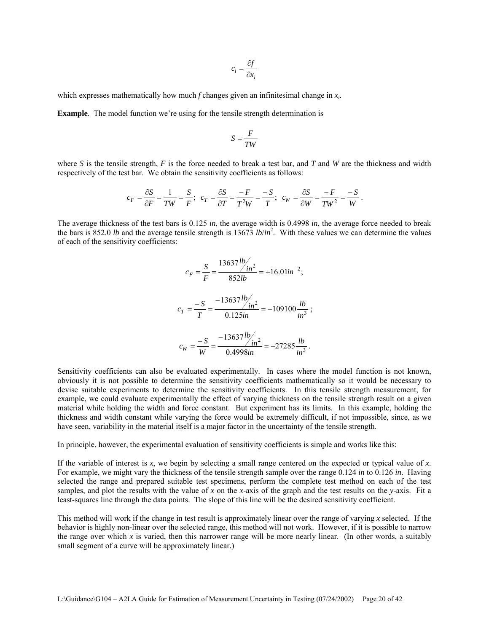$$
c_i = \frac{\partial f}{\partial x_i}
$$

which expresses mathematically how much *f* changes given an infinitesimal change in *xi*.

**Example**. The model function we're using for the tensile strength determination is

$$
S=\frac{F}{TW}
$$

where *S* is the tensile strength, *F* is the force needed to break a test bar, and *T* and *W* are the thickness and width respectively of the test bar. We obtain the sensitivity coefficients as follows:

$$
c_F=\frac{\partial S}{\partial F}=\frac{1}{TW}=\frac{S}{F};~~c_T=\frac{\partial S}{\partial T}=\frac{-F}{T^2W}=\frac{-S}{T};~~c_W=\frac{\partial S}{\partial W}=\frac{-F}{TW^2}=\frac{-S}{W}\,.
$$

The average thickness of the test bars is 0.125 *in*, the average width is 0.4998 *in*, the average force needed to break the bars is 852.0 *lb* and the average tensile strength is 13673 *lb/in*<sup>2</sup>. With these values we can determine the values of each of the sensitivity coefficients:

$$
c_F = \frac{S}{F} = \frac{13637 \frac{lb}{in^2}}{852 lb} = +16.01 \frac{ln^{-2}}{}
$$
\n
$$
c_T = \frac{-S}{T} = \frac{-13637 \frac{lb}{in^2}}{0.125 \frac{ln^2}{in^2}} = -109100 \frac{lb}{in^3};
$$
\n
$$
c_W = \frac{-S}{W} = \frac{-13637 \frac{lb}{in^2}}{0.4998 \frac{ln^2}{in^2}} = -27285 \frac{lb}{in^3}.
$$

Sensitivity coefficients can also be evaluated experimentally. In cases where the model function is not known, obviously it is not possible to determine the sensitivity coefficients mathematically so it would be necessary to devise suitable experiments to determine the sensitivity coefficients. In this tensile strength measurement, for example, we could evaluate experimentally the effect of varying thickness on the tensile strength result on a given material while holding the width and force constant. But experiment has its limits. In this example, holding the thickness and width constant while varying the force would be extremely difficult, if not impossible, since, as we have seen, variability in the material itself is a major factor in the uncertainty of the tensile strength.

In principle, however, the experimental evaluation of sensitivity coefficients is simple and works like this:

If the variable of interest is *x*, we begin by selecting a small range centered on the expected or typical value of *x*. For example, we might vary the thickness of the tensile strength sample over the range 0.124 *in* to 0.126 *in*. Having selected the range and prepared suitable test specimens, perform the complete test method on each of the test samples, and plot the results with the value of *x* on the *x*-axis of the graph and the test results on the *y*-axis. Fit a least-squares line through the data points. The slope of this line will be the desired sensitivity coefficient.

This method will work if the change in test result is approximately linear over the range of varying *x* selected. If the behavior is highly non-linear over the selected range, this method will not work. However, if it is possible to narrow the range over which *x* is varied, then this narrower range will be more nearly linear. (In other words, a suitably small segment of a curve will be approximately linear.)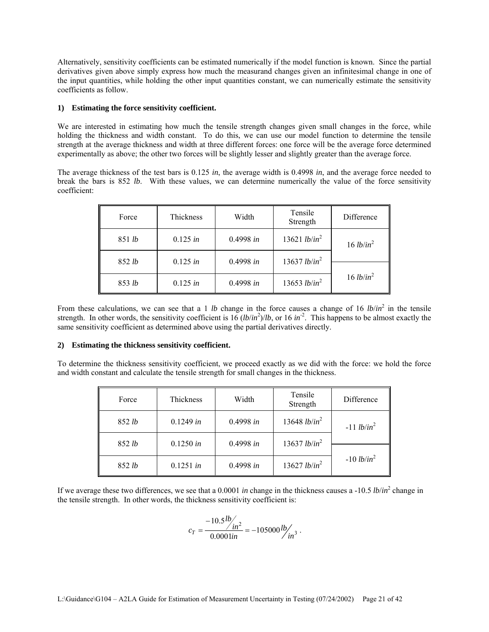Alternatively, sensitivity coefficients can be estimated numerically if the model function is known. Since the partial derivatives given above simply express how much the measurand changes given an infinitesimal change in one of the input quantities, while holding the other input quantities constant, we can numerically estimate the sensitivity coefficients as follow.

#### **1) Estimating the force sensitivity coefficient.**

We are interested in estimating how much the tensile strength changes given small changes in the force, while holding the thickness and width constant. To do this, we can use our model function to determine the tensile strength at the average thickness and width at three different forces: one force will be the average force determined experimentally as above; the other two forces will be slightly lesser and slightly greater than the average force.

The average thickness of the test bars is 0.125 *in*, the average width is 0.4998 *in*, and the average force needed to break the bars is 852 *lb*. With these values, we can determine numerically the value of the force sensitivity coefficient:

| Force  | Tensile<br>Width<br>Thickness<br>Strength |           | Difference                      |                       |
|--------|-------------------------------------------|-----------|---------------------------------|-----------------------|
| 851 lb | 0.125 in                                  | 0.4998 in | 13621 <i>lb/in</i> <sup>2</sup> | 16 lb/in <sup>2</sup> |
| 852 lb | 0.125 in                                  | 0.4998 in | 13637 <i>lb/in</i> <sup>2</sup> |                       |
| 853 lb | 0.125 in                                  | 0.4998 in | 13653 <i>lb/in</i> <sup>2</sup> | 16 lb/in <sup>2</sup> |

From these calculations, we can see that a 1 *lb* change in the force causes a change of 16  $lb/in^2$  in the tensile strength. In other words, the sensitivity coefficient is  $16 (lb/in^2)/lb$ , or  $16 in^2$ . This happens to be almost exactly the same sensitivity coefficient as determined above using the partial derivatives directly.

#### **2) Estimating the thickness sensitivity coefficient.**

To determine the thickness sensitivity coefficient, we proceed exactly as we did with the force: we hold the force and width constant and calculate the tensile strength for small changes in the thickness.

| Force  | Tensile<br>Thickness<br>Width<br>Strength |           |                                 | Difference    |
|--------|-------------------------------------------|-----------|---------------------------------|---------------|
| 852 lb | 0.1249 in                                 | 0.4998 in | 13648 <i>lb/in</i> <sup>2</sup> | $-11 lb/in^2$ |
| 852 lb | 0.1250 in                                 | 0.4998 in | 13637 <i>lb/in</i> <sup>2</sup> |               |
| 852 lb | 0.1251 in                                 | 0.4998 in | 13627 <i>lb/in</i> <sup>2</sup> | $-10 lb/in^2$ |

If we average these two differences, we see that a 0.0001 *in* change in the thickness causes a -10.5 *lb/in*<sup>2</sup> change in the tensile strength. In other words, the thickness sensitivity coefficient is:

$$
c_T = \frac{-10.5 \frac{lb}{m^2}}{0.0001 in} = -105000 \frac{lb}{m^3}.
$$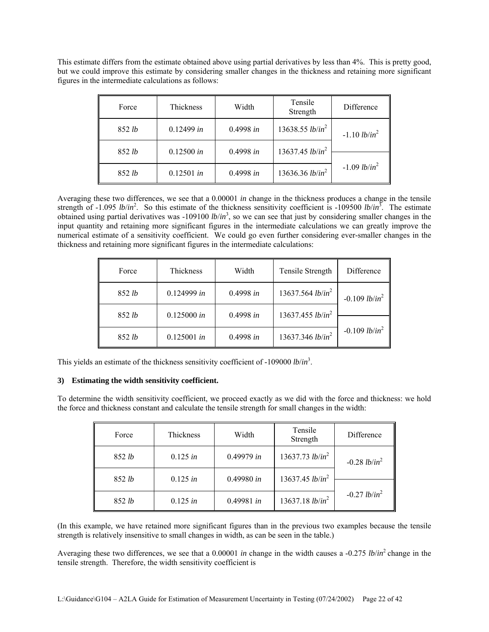This estimate differs from the estimate obtained above using partial derivatives by less than 4%. This is pretty good, but we could improve this estimate by considering smaller changes in the thickness and retaining more significant figures in the intermediate calculations as follows:

| Force  | Thickness  | Width     | Tensile<br>Strength                | Difference                        |
|--------|------------|-----------|------------------------------------|-----------------------------------|
| 852 lb | 0.12499 in | 0.4998 in | 13638.55 <i>lb/in</i> <sup>2</sup> | $-1.10$ lb/in <sup>2</sup>        |
| 852 lb | 0.12500 in | 0.4998 in | 13637.45 $lb/in^2$                 |                                   |
| 852 lb | 0.12501 in | 0.4998 in | 13636.36 <i>lb/in</i> <sup>2</sup> | $-1.09$ <i>lb/in</i> <sup>2</sup> |

Averaging these two differences, we see that a 0.00001 *in* change in the thickness produces a change in the tensile strength of -1.095 *lb/in*<sup>2</sup>. So this estimate of the thickness sensitivity coefficient is -109500 *lb/in*<sup>3</sup>. The estimate obtained using partial derivatives was -109100 *lb/in*<sup>3</sup>, so we can see that just by considering smaller changes in the input quantity and retaining more significant figures in the intermediate calculations we can greatly improve the numerical estimate of a sensitivity coefficient. We could go even further considering ever-smaller changes in the thickness and retaining more significant figures in the intermediate calculations:

| Force  | Thickness     | Width     | Tensile Strength    | Difference                  |
|--------|---------------|-----------|---------------------|-----------------------------|
| 852 lb | $0.124999$ in | 0.4998 in | 13637.564 $lb/in^2$ | $-0.109$ lb/in <sup>2</sup> |
| 852 lb | 0.125000 in   | 0.4998 in | 13637.455 $lb/in^2$ |                             |
| 852 lb | $0.125001$ in | 0.4998 in | 13637.346 $lb/in^2$ | $-0.109$ lb/in <sup>2</sup> |

This yields an estimate of the thickness sensitivity coefficient of -109000 *lb*/*in*<sup>3</sup> .

#### **3) Estimating the width sensitivity coefficient.**

To determine the width sensitivity coefficient, we proceed exactly as we did with the force and thickness: we hold the force and thickness constant and calculate the tensile strength for small changes in the width:

| Force  | Thickness                                    | Width      | Tensile<br>Strength        | Difference      |
|--------|----------------------------------------------|------------|----------------------------|-----------------|
| 852 lb | 13637.73 $lb/in^2$<br>0.49979 in<br>0.125 in |            | $-0.28$ lb/in <sup>2</sup> |                 |
| 852 lb | 0.125 in                                     | 0.49980 in | 13637.45 $lb/in^2$         |                 |
| 852 lb | 0.125 in                                     | 0.49981 in | 13637.18 $lb/in^2$         | $-0.27 lb/in^2$ |

(In this example, we have retained more significant figures than in the previous two examples because the tensile strength is relatively insensitive to small changes in width, as can be seen in the table.)

Averaging these two differences, we see that a 0.00001 *in* change in the width causes a -0.275 *lb*/*in*2 change in the tensile strength. Therefore, the width sensitivity coefficient is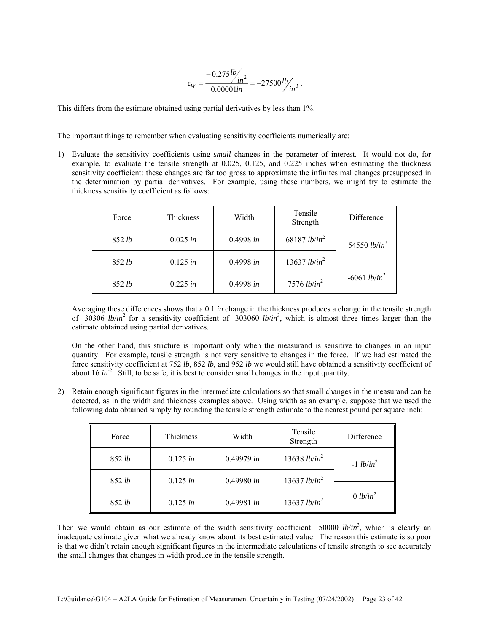$$
c_W = \frac{-0.275 \frac{lb}{in^2}}{0.00001 in} = -27500 \frac{lb}{in^3}.
$$

This differs from the estimate obtained using partial derivatives by less than 1%.

The important things to remember when evaluating sensitivity coefficients numerically are:

1) Evaluate the sensitivity coefficients using *small* changes in the parameter of interest. It would not do, for example, to evaluate the tensile strength at 0.025, 0.125, and 0.225 inches when estimating the thickness sensitivity coefficient: these changes are far too gross to approximate the infinitesimal changes presupposed in the determination by partial derivatives. For example, using these numbers, we might try to estimate the thickness sensitivity coefficient as follows:

| Force  | Thickness                                                |           | Tensile<br>Strength             | Difference      |
|--------|----------------------------------------------------------|-----------|---------------------------------|-----------------|
| 852 lb | 68187 <i>lb/in</i> <sup>2</sup><br>0.4998 in<br>0.025 in |           | $-54550 lb/in^2$                |                 |
| 852 lb | $0.125$ in                                               | 0.4998 in | 13637 <i>lb/in</i> <sup>2</sup> |                 |
| 852 lb | 0.225 in                                                 | 0.4998 in | 7576 $lb/in^2$                  | $-6061 lb/in^2$ |

Averaging these differences shows that a 0.1 *in* change in the thickness produces a change in the tensile strength of -30306 *lb*/*in*<sup>2</sup> for a sensitivity coefficient of -303060 *lb*/*in*<sup>3</sup> , which is almost three times larger than the estimate obtained using partial derivatives.

On the other hand, this stricture is important only when the measurand is sensitive to changes in an input quantity. For example, tensile strength is not very sensitive to changes in the force. If we had estimated the force sensitivity coefficient at 752 *lb*, 852 *lb*, and 952 *lb* we would still have obtained a sensitivity coefficient of about 16  $in^2$ . Still, to be safe, it is best to consider small changes in the input quantity.

2) Retain enough significant figures in the intermediate calculations so that small changes in the measurand can be detected, as in the width and thickness examples above. Using width as an example, suppose that we used the following data obtained simply by rounding the tensile strength estimate to the nearest pound per square inch:

| Force  | Thickness<br>Width                                        |            | Tensile<br>Strength             | Difference           |
|--------|-----------------------------------------------------------|------------|---------------------------------|----------------------|
| 852 lb | 13638 <i>lb/in</i> <sup>2</sup><br>0.49979 in<br>0.125 in |            | $-1 lb/in2$                     |                      |
| 852 lb | 0.125 in                                                  | 0.49980 in | 13637 <i>lb/in</i> <sup>2</sup> |                      |
| 852 lb | 0.125 in                                                  | 0.49981 in | 13637 <i>lb/in</i> <sup>2</sup> | 0 lb/in <sup>2</sup> |

Then we would obtain as our estimate of the width sensitivity coefficient  $-50000$  *lb/in*<sup>3</sup>, which is clearly an inadequate estimate given what we already know about its best estimated value. The reason this estimate is so poor is that we didn't retain enough significant figures in the intermediate calculations of tensile strength to see accurately the small changes that changes in width produce in the tensile strength.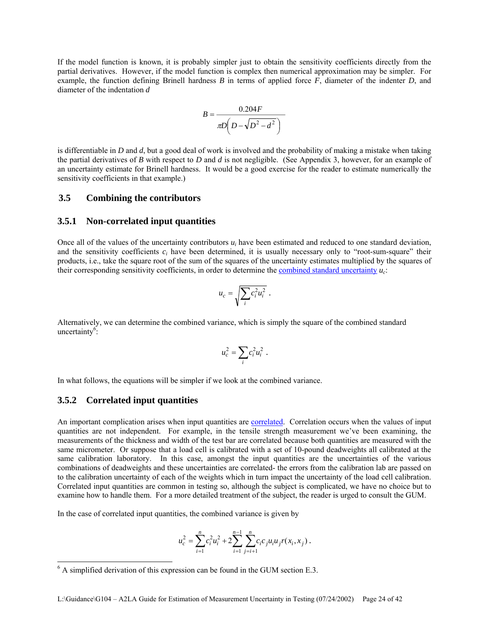If the model function is known, it is probably simpler just to obtain the sensitivity coefficients directly from the partial derivatives. However, if the model function is complex then numerical approximation may be simpler. For example, the function defining Brinell hardness *B* in terms of applied force *F*, diameter of the indenter *D*, and diameter of the indentation *d*

$$
B = \frac{0.204F}{\pi D \left(D - \sqrt{D^2 - d^2}\right)}
$$

is differentiable in *D* and *d*, but a good deal of work is involved and the probability of making a mistake when taking the partial derivatives of *B* with respect to *D* and *d* is not negligible. (See Appendix 3, however, for an example of an uncertainty estimate for Brinell hardness. It would be a good exercise for the reader to estimate numerically the sensitivity coefficients in that example.)

#### **3.5 Combining the contributors**

#### **3.5.1 Non-correlated input quantities**

Once all of the values of the uncertainty contributors  $u_i$  have been estimated and reduced to one standard deviation, and the sensitivity coefficients *ci* have been determined, it is usually necessary only to "root-sum-square" their products, i.e., take the square root of the sum of the squares of the uncertainty estimates multiplied by the squares of their corresponding sensitivity coefficients, in order to determine the combined standard uncertainty *uc*:

$$
u_c = \sqrt{\sum_i c_i^2 u_i^2} \ .
$$

Alternatively, we can determine the combined variance, which is simply the square of the combined standard uncertainty<sup>6</sup>:

$$
u_c^2 = \sum_i c_i^2 u_i^2.
$$

In what follows, the equations will be simpler if we look at the combined variance.

#### **3.5.2 Correlated input quantities**

 $\overline{\phantom{a}}$ 

An important complication arises when input quantities are correlated. Correlation occurs when the values of input quantities are not independent. For example, in the tensile strength measurement we've been examining, the measurements of the thickness and width of the test bar are correlated because both quantities are measured with the same micrometer. Or suppose that a load cell is calibrated with a set of 10-pound deadweights all calibrated at the same calibration laboratory. In this case, amongst the input quantities are the uncertainties of the various combinations of deadweights and these uncertainties are correlated- the errors from the calibration lab are passed on to the calibration uncertainty of each of the weights which in turn impact the uncertainty of the load cell calibration. Correlated input quantities are common in testing so, although the subject is complicated, we have no choice but to examine how to handle them. For a more detailed treatment of the subject, the reader is urged to consult the GUM.

In the case of correlated input quantities, the combined variance is given by

$$
u_c^2 = \sum_{i=1}^n c_i^2 u_i^2 + 2 \sum_{i=1}^{n-1} \sum_{j=i+1}^n c_i c_j u_i u_j r(x_i, x_j).
$$

 $6$  A simplified derivation of this expression can be found in the GUM section E.3.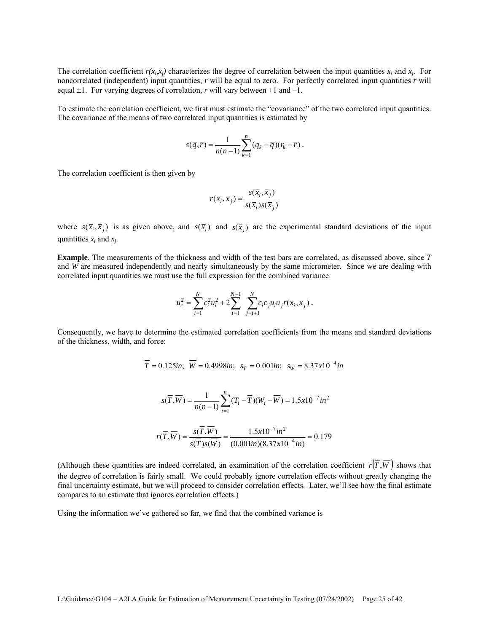The correlation coefficient  $r(x_i, x_j)$  characterizes the degree of correlation between the input quantities  $x_i$  and  $x_j$ . For noncorrelated (independent) input quantities, *r* will be equal to zero. For perfectly correlated input quantities *r* will equal  $\pm 1$ . For varying degrees of correlation, *r* will vary between  $+1$  and  $-1$ .

To estimate the correlation coefficient, we first must estimate the "covariance" of the two correlated input quantities. The covariance of the means of two correlated input quantities is estimated by

$$
s(\overline{q},\overline{r})=\frac{1}{n(n-1)}\sum_{k=1}^n(q_k-\overline{q})(r_k-\overline{r}).
$$

The correlation coefficient is then given by

$$
r(\overline{x}_i, \overline{x}_j) = \frac{s(\overline{x}_i, \overline{x}_j)}{s(\overline{x}_i)s(\overline{x}_j)}
$$

where  $s(\bar{x}_i, \bar{x}_j)$  is as given above, and  $s(\bar{x}_i)$  and  $s(\bar{x}_j)$  are the experimental standard deviations of the input quantities *xi* and *xj*.

**Example**. The measurements of the thickness and width of the test bars are correlated, as discussed above, since *T* and *W* are measured independently and nearly simultaneously by the same micrometer. Since we are dealing with correlated input quantities we must use the full expression for the combined variance:

$$
u_c^2 = \sum_{i=1}^N c_i^2 u_i^2 + 2 \sum_{i=1}^{N-1} \sum_{j=i+1}^N c_i c_j u_i u_j r(x_i, x_j).
$$

Consequently, we have to determine the estimated correlation coefficients from the means and standard deviations of the thickness, width, and force:

$$
\overline{T} = 0.125
$$
in;  $\overline{W} = 0.4998$ in;  $s_T = 0.001$ in;  $s_W = 8.37 \times 10^{-4}$ in

$$
s(\overline{T}, \overline{W}) = \frac{1}{n(n-1)} \sum_{i=1}^{n} (T_i - \overline{T})(W_i - \overline{W}) = 1.5 \times 10^{-7} in^2
$$

$$
r(\overline{T}, \overline{W}) = \frac{s(\overline{T}, \overline{W})}{s(\overline{T})s(\overline{W})} = \frac{1.5x10^{-7}in^2}{(0.001in)(8.37x10^{-4}in)} = 0.179
$$

(Although these quantities are indeed correlated, an examination of the correlation coefficient  $r(\overline{T}, \overline{W})$  shows that the degree of correlation is fairly small. We could probably ignore correlation effects without greatly changing the final uncertainty estimate, but we will proceed to consider correlation effects. Later, we'll see how the final estimate compares to an estimate that ignores correlation effects.)

Using the information we've gathered so far, we find that the combined variance is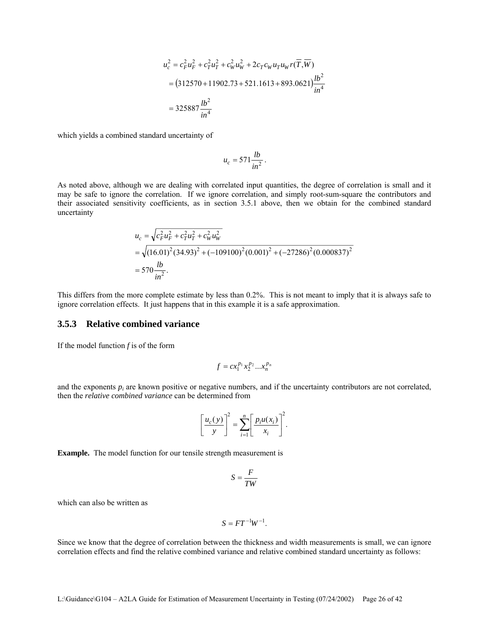$$
u_c^2 = c_F^2 u_F^2 + c_T^2 u_T^2 + c_W^2 u_W^2 + 2c_T c_W u_T u_W r(\overline{T}, \overline{W})
$$
  
= (312570 + 11902.73 + 521.1613 + 893.0621) $\frac{lb^2}{in^4}$   
= 325887  $\frac{lb^2}{in^4}$ 

which yields a combined standard uncertainty of

$$
u_c = 571 \frac{lb}{in^2}.
$$

As noted above, although we are dealing with correlated input quantities, the degree of correlation is small and it may be safe to ignore the correlation. If we ignore correlation, and simply root-sum-square the contributors and their associated sensitivity coefficients, as in section 3.5.1 above, then we obtain for the combined standard uncertainty

$$
u_c = \sqrt{c_F^2 u_F^2 + c_T^2 u_T^2 + c_W^2 u_W^2}
$$
  
=  $\sqrt{(16.01)^2 (34.93)^2 + (-109100)^2 (0.001)^2 + (-27286)^2 (0.000837)^2}$   
=  $570 \frac{lb}{in^2}$ .

This differs from the more complete estimate by less than 0.2%. This is not meant to imply that it is always safe to ignore correlation effects. It just happens that in this example it is a safe approximation.

#### **3.5.3 Relative combined variance**

If the model function *f* is of the form

$$
f = cx_1^{p_1} x_2^{p_2} \dots x_n^{p_n}
$$

and the exponents  $p_i$  are known positive or negative numbers, and if the uncertainty contributors are not correlated, then the *relative combined variance* can be determined from

 $\overline{a}$ 

$$
\left[\frac{u_c(y)}{y}\right]^2 = \sum_{i=1}^n \left[\frac{p_i u(x_i)}{x_i}\right]^2.
$$

**Example.** The model function for our tensile strength measurement is

$$
S=\frac{F}{TW}
$$

which can also be written as

$$
S = FT^{-1}W^{-1}.
$$

Since we know that the degree of correlation between the thickness and width measurements is small, we can ignore correlation effects and find the relative combined variance and relative combined standard uncertainty as follows: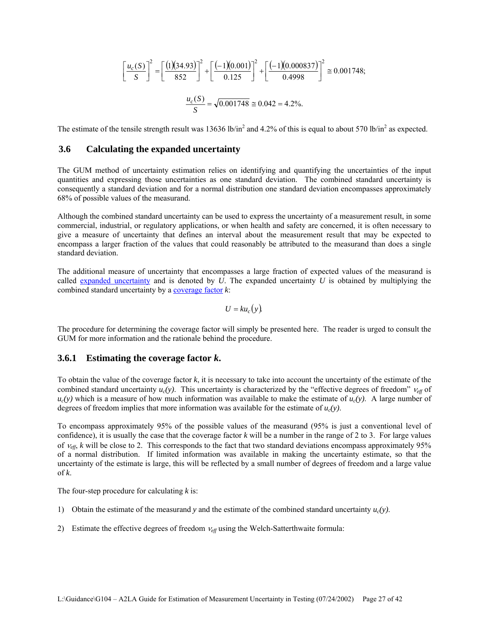$$
\left[\frac{u_c(S)}{S}\right]^2 = \left[\frac{(1)(34.93)}{852}\right]^2 + \left[\frac{(-1)(0.001)}{0.125}\right]^2 + \left[\frac{(-1)(0.000837)}{0.4998}\right]^2 \approx 0.001748;
$$

$$
\frac{u_c(S)}{S} = \sqrt{0.001748} \approx 0.042 = 4.2\%.
$$

The estimate of the tensile strength result was 13636 lb/in<sup>2</sup> and 4.2% of this is equal to about 570 lb/in<sup>2</sup> as expected.

#### **3.6 Calculating the expanded uncertainty**

The GUM method of uncertainty estimation relies on identifying and quantifying the uncertainties of the input quantities and expressing those uncertainties as one standard deviation. The combined standard uncertainty is consequently a standard deviation and for a normal distribution one standard deviation encompasses approximately 68% of possible values of the measurand.

Although the combined standard uncertainty can be used to express the uncertainty of a measurement result, in some commercial, industrial, or regulatory applications, or when health and safety are concerned, it is often necessary to give a measure of uncertainty that defines an interval about the measurement result that may be expected to encompass a larger fraction of the values that could reasonably be attributed to the measurand than does a single standard deviation.

The additional measure of uncertainty that encompasses a large fraction of expected values of the measurand is called expanded uncertainty and is denoted by *U*. The expanded uncertainty *U* is obtained by multiplying the combined standard uncertainty by a coverage factor *k*:

$$
U = k u_c(y).
$$

The procedure for determining the coverage factor will simply be presented here. The reader is urged to consult the GUM for more information and the rationale behind the procedure.

#### **3.6.1 Estimating the coverage factor** *k***.**

To obtain the value of the coverage factor *k*, it is necessary to take into account the uncertainty of the estimate of the combined standard uncertainty  $u_c(y)$ . This uncertainty is characterized by the "effective degrees of freedom"  $v_{eff}$  of  $u_c(y)$  which is a measure of how much information was available to make the estimate of  $u_c(y)$ . A large number of degrees of freedom implies that more information was available for the estimate of  $u_c(y)$ .

To encompass approximately 95% of the possible values of the measurand (95% is just a conventional level of confidence), it is usually the case that the coverage factor  $k$  will be a number in the range of 2 to 3. For large values of  $v_{eff}$ , *k* will be close to 2. This corresponds to the fact that two standard deviations encompass approximately 95% of a normal distribution. If limited information was available in making the uncertainty estimate, so that the uncertainty of the estimate is large, this will be reflected by a small number of degrees of freedom and a large value of  $k$ .

The four-step procedure for calculating *k* is:

- 1) Obtain the estimate of the measurand *y* and the estimate of the combined standard uncertainty  $u_c(y)$ .
- 2) Estimate the effective degrees of freedom  $v_{eff}$  using the Welch-Satterthwaite formula: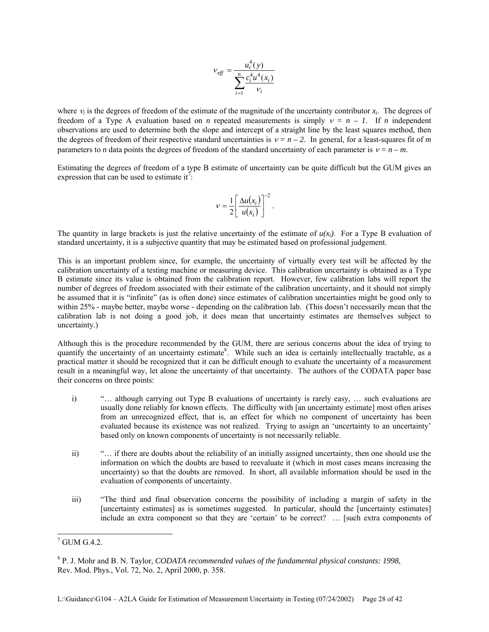$$
V_{eff} = \frac{u_c^4(y)}{\sum_{i=1}^n \frac{c_i^4 u^4(x_i)}{v_i}}
$$

where <sup>ν</sup>*i* is the degrees of freedom of the estimate of the magnitude of the uncertainty contributor *xi*. The degrees of freedom of a Type A evaluation based on *n* repeated measurements is simply  $v = n - 1$ . If *n* independent observations are used to determine both the slope and intercept of a straight line by the least squares method, then the degrees of freedom of their respective standard uncertainties is  $v = n - 2$ . In general, for a least-squares fit of *m* parameters to *n* data points the degrees of freedom of the standard uncertainty of each parameter is  $v = n - m$ .

Estimating the degrees of freedom of a type B estimate of uncertainty can be quite difficult but the GUM gives an expression that can be used to estimate it<sup>7</sup>.

$$
V = \frac{1}{2} \left[ \frac{\Delta u(x_i)}{u(x_i)} \right]^{-2}.
$$

The quantity in large brackets is just the relative uncertainty of the estimate of  $u(x_i)$ . For a Type B evaluation of standard uncertainty, it is a subjective quantity that may be estimated based on professional judgement.

This is an important problem since, for example, the uncertainty of virtually every test will be affected by the calibration uncertainty of a testing machine or measuring device. This calibration uncertainty is obtained as a Type B estimate since its value is obtained from the calibration report. However, few calibration labs will report the number of degrees of freedom associated with their estimate of the calibration uncertainty, and it should not simply be assumed that it is "infinite" (as is often done) since estimates of calibration uncertainties might be good only to within 25% - maybe better, maybe worse - depending on the calibration lab. (This doesn't necessarily mean that the calibration lab is not doing a good job, it does mean that uncertainty estimates are themselves subject to uncertainty.)

Although this is the procedure recommended by the GUM, there are serious concerns about the idea of trying to quantify the uncertainty of an uncertainty estimate<sup>8</sup>. While such an idea is certainly intellectually tractable, as a practical matter it should be recognized that it can be difficult enough to evaluate the uncertainty of a measurement result in a meaningful way, let alone the uncertainty of that uncertainty. The authors of the CODATA paper base their concerns on three points:

- i) "… although carrying out Type B evaluations of uncertainty is rarely easy, … such evaluations are usually done reliably for known effects. The difficulty with [an uncertainty estimate] most often arises from an unrecognized effect, that is, an effect for which no component of uncertainty has been evaluated because its existence was not realized. Trying to assign an 'uncertainty to an uncertainty' based only on known components of uncertainty is not necessarily reliable.
- ii) "… if there are doubts about the reliability of an initially assigned uncertainty, then one should use the information on which the doubts are based to reevaluate it (which in most cases means increasing the uncertainty) so that the doubts are removed. In short, all available information should be used in the evaluation of components of uncertainty.
- iii) "The third and final observation concerns the possibility of including a margin of safety in the [uncertainty estimates] as is sometimes suggested. In particular, should the [uncertainty estimates] include an extra component so that they are 'certain' to be correct? … [such extra components of

 $\overline{\phantom{a}}$ 

 $7$  GUM G.4.2.

<sup>8</sup> P. J. Mohr and B. N. Taylor, *CODATA recommended values of the fundamental physical constants: 1998*, Rev. Mod. Phys., Vol. 72, No. 2, April 2000, p. 358.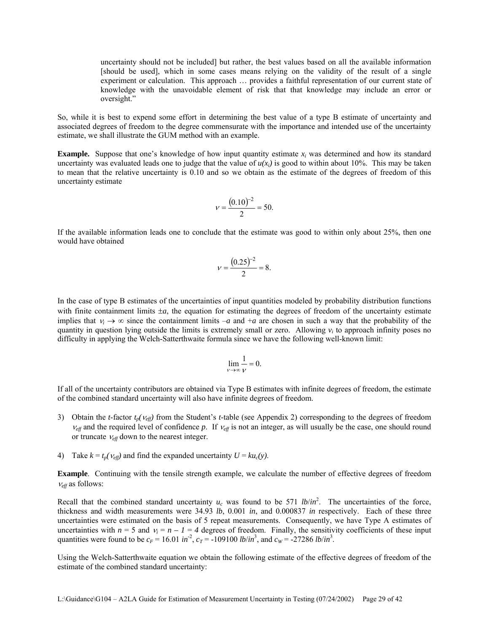uncertainty should not be included] but rather, the best values based on all the available information [should be used], which in some cases means relying on the validity of the result of a single experiment or calculation. This approach … provides a faithful representation of our current state of knowledge with the unavoidable element of risk that that knowledge may include an error or oversight."

So, while it is best to expend some effort in determining the best value of a type B estimate of uncertainty and associated degrees of freedom to the degree commensurate with the importance and intended use of the uncertainty estimate, we shall illustrate the GUM method with an example.

**Example.** Suppose that one's knowledge of how input quantity estimate  $x_i$  was determined and how its standard uncertainty was evaluated leads one to judge that the value of  $u(x<sub>i</sub>)$  is good to within about 10%. This may be taken to mean that the relative uncertainty is 0.10 and so we obtain as the estimate of the degrees of freedom of this uncertainty estimate

$$
v = \frac{(0.10)^{-2}}{2} = 50.
$$

If the available information leads one to conclude that the estimate was good to within only about 25%, then one would have obtained

$$
v = \frac{(0.25)^{-2}}{2} = 8.
$$

In the case of type B estimates of the uncertainties of input quantities modeled by probability distribution functions with finite containment limits  $\pm a$ , the equation for estimating the degrees of freedom of the uncertainty estimate implies that  $v_i \rightarrow \infty$  since the containment limits  $-a$  and  $+a$  are chosen in such a way that the probability of the quantity in question lying outside the limits is extremely small or zero. Allowing *vi* to approach infinity poses no difficulty in applying the Welch-Satterthwaite formula since we have the following well-known limit:

$$
\lim_{\nu \to \infty} \frac{1}{\nu} = 0.
$$

If all of the uncertainty contributors are obtained via Type B estimates with infinite degrees of freedom, the estimate of the combined standard uncertainty will also have infinite degrees of freedom.

- 3) Obtain the *t*-factor  $t_p(V_{\text{eff}})$  from the Student's *t*-table (see Appendix 2) corresponding to the degrees of freedom  $v_{\text{eff}}$  and the required level of confidence *p*. If  $v_{\text{eff}}$  is not an integer, as will usually be the case, one should round or truncate  $v_{\text{eff}}$  down to the nearest integer.
- 4) Take  $k = t_p(v_{\text{eff}})$  and find the expanded uncertainty  $U = ku_c(y)$ .

**Example**. Continuing with the tensile strength example, we calculate the number of effective degrees of freedom <sup>ν</sup>*eff* as follows:

Recall that the combined standard uncertainty  $u_c$  was found to be 571 *lb*/*in*<sup>2</sup>. The uncertainties of the force, thickness and width measurements were 34.93 *lb*, 0.001 *in*, and 0.000837 *in* respectively. Each of these three uncertainties were estimated on the basis of 5 repeat measurements. Consequently, we have Type A estimates of uncertainties with  $n = 5$  and  $v_i = n - 1 = 4$  degrees of freedom. Finally, the sensitivity coefficients of these input quantities were found to be  $c_F = 16.01 \text{ in}^2$ ,  $c_T = -109100 \text{ lb/in}^3$ , and  $c_W = -27286 \text{ lb/in}^3$ .

Using the Welch-Satterthwaite equation we obtain the following estimate of the effective degrees of freedom of the estimate of the combined standard uncertainty: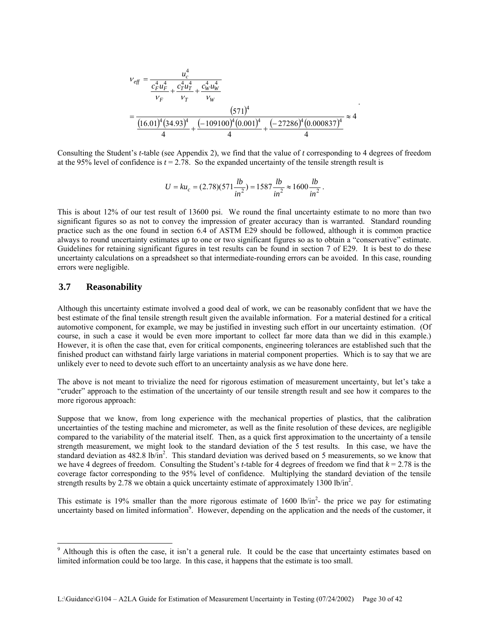$$
v_{eff} = \frac{u_c^4}{\frac{c_F^4 u_F^4}{v_F} + \frac{c_T^4 u_T^4}{v_T} + \frac{c_W^4 u_W^4}{v_W}}
$$
  
= 
$$
\frac{(571)^4}{(16.01)^4 (34.93)^4 + (-109100)^4 (0.001)^4 + (-27286)^4 (0.000837)^4} \approx 4
$$

Consulting the Student's *t*-table (see Appendix 2), we find that the value of *t* corresponding to 4 degrees of freedom at the 95% level of confidence is  $t = 2.78$ . So the expanded uncertainty of the tensile strength result is

$$
U = ku_c = (2.78)(571 \frac{lb}{in^2}) = 1587 \frac{lb}{in^2} \approx 1600 \frac{lb}{in^2}.
$$

This is about 12% of our test result of 13600 psi. We round the final uncertainty estimate to no more than two significant figures so as not to convey the impression of greater accuracy than is warranted. Standard rounding practice such as the one found in section 6.4 of ASTM E29 should be followed, although it is common practice always to round uncertainty estimates *up* to one or two significant figures so as to obtain a "conservative" estimate. Guidelines for retaining significant figures in test results can be found in section 7 of E29. It is best to do these uncertainty calculations on a spreadsheet so that intermediate-rounding errors can be avoided. In this case, rounding errors were negligible.

### **3.7 Reasonability**

Although this uncertainty estimate involved a good deal of work, we can be reasonably confident that we have the best estimate of the final tensile strength result given the available information. For a material destined for a critical automotive component, for example, we may be justified in investing such effort in our uncertainty estimation. (Of course, in such a case it would be even more important to collect far more data than we did in this example.) However, it is often the case that, even for critical components, engineering tolerances are established such that the finished product can withstand fairly large variations in material component properties. Which is to say that we are unlikely ever to need to devote such effort to an uncertainty analysis as we have done here.

The above is not meant to trivialize the need for rigorous estimation of measurement uncertainty, but let's take a "cruder" approach to the estimation of the uncertainty of our tensile strength result and see how it compares to the more rigorous approach:

Suppose that we know, from long experience with the mechanical properties of plastics, that the calibration uncertainties of the testing machine and micrometer, as well as the finite resolution of these devices, are negligible compared to the variability of the material itself. Then, as a quick first approximation to the uncertainty of a tensile strength measurement, we might look to the standard deviation of the 5 test results. In this case, we have the standard deviation as  $482.8 \text{ lb/in}^2$ . This standard deviation was derived based on 5 measurements, so we know that we have 4 degrees of freedom. Consulting the Student's *t*-table for 4 degrees of freedom we find that *k* = 2.78 is the coverage factor corresponding to the 95% level of confidence. Multiplying the standard deviation of the tensile strength results by 2.78 we obtain a quick uncertainty estimate of approximately 1300 lb/in<sup>2</sup>.

This estimate is 19% smaller than the more rigorous estimate of 1600 lb/in<sup>2</sup>- the price we pay for estimating uncertainty based on limited information<sup>9</sup>. However, depending on the application and the needs of the customer, it

<sup>&</sup>lt;sup>9</sup> Although this is often the case, it isn't a general rule. It could be the case that uncertainty estimates based on limited information could be too large. In this case, it happens that the estimate is too small.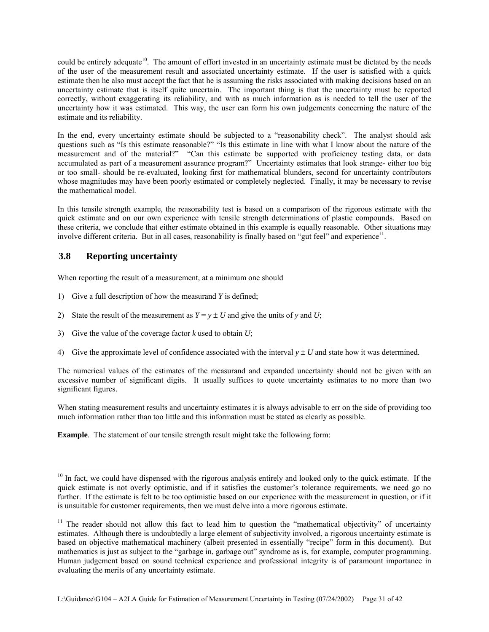could be entirely adequate<sup>10</sup>. The amount of effort invested in an uncertainty estimate must be dictated by the needs of the user of the measurement result and associated uncertainty estimate. If the user is satisfied with a quick estimate then he also must accept the fact that he is assuming the risks associated with making decisions based on an uncertainty estimate that is itself quite uncertain. The important thing is that the uncertainty must be reported correctly, without exaggerating its reliability, and with as much information as is needed to tell the user of the uncertainty how it was estimated. This way, the user can form his own judgements concerning the nature of the estimate and its reliability.

In the end, every uncertainty estimate should be subjected to a "reasonability check". The analyst should ask questions such as "Is this estimate reasonable?" "Is this estimate in line with what I know about the nature of the measurement and of the material?" "Can this estimate be supported with proficiency testing data, or data accumulated as part of a measurement assurance program?" Uncertainty estimates that look strange- either too big or too small- should be re-evaluated, looking first for mathematical blunders, second for uncertainty contributors whose magnitudes may have been poorly estimated or completely neglected. Finally, it may be necessary to revise the mathematical model.

In this tensile strength example, the reasonability test is based on a comparison of the rigorous estimate with the quick estimate and on our own experience with tensile strength determinations of plastic compounds. Based on these criteria, we conclude that either estimate obtained in this example is equally reasonable. Other situations may involve different criteria. But in all cases, reasonability is finally based on "gut feel" and experience $1$ .

# **3.8 Reporting uncertainty**

 $\overline{\phantom{a}}$ 

When reporting the result of a measurement, at a minimum one should

- 1) Give a full description of how the measurand *Y* is defined;
- 2) State the result of the measurement as  $Y = y \pm U$  and give the units of *y* and *U*;
- 3) Give the value of the coverage factor *k* used to obtain *U*;
- 4) Give the approximate level of confidence associated with the interval  $y \pm U$  and state how it was determined.

The numerical values of the estimates of the measurand and expanded uncertainty should not be given with an excessive number of significant digits. It usually suffices to quote uncertainty estimates to no more than two significant figures.

When stating measurement results and uncertainty estimates it is always advisable to err on the side of providing too much information rather than too little and this information must be stated as clearly as possible.

**Example**. The statement of our tensile strength result might take the following form:

<sup>&</sup>lt;sup>10</sup> In fact, we could have dispensed with the rigorous analysis entirely and looked only to the quick estimate. If the quick estimate is not overly optimistic, and if it satisfies the customer's tolerance requirements, we need go no further. If the estimate is felt to be too optimistic based on our experience with the measurement in question, or if it is unsuitable for customer requirements, then we must delve into a more rigorous estimate.

<sup>&</sup>lt;sup>11</sup> The reader should not allow this fact to lead him to question the "mathematical objectivity" of uncertainty estimates. Although there is undoubtedly a large element of subjectivity involved, a rigorous uncertainty estimate is based on objective mathematical machinery (albeit presented in essentially "recipe" form in this document). But mathematics is just as subject to the "garbage in, garbage out" syndrome as is, for example, computer programming. Human judgement based on sound technical experience and professional integrity is of paramount importance in evaluating the merits of any uncertainty estimate.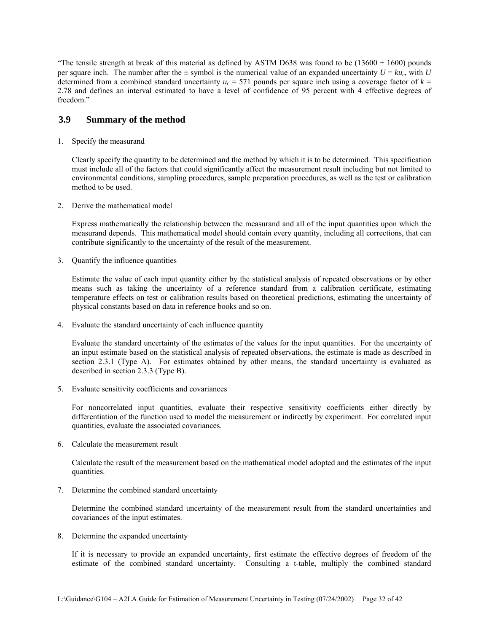"The tensile strength at break of this material as defined by ASTM D638 was found to be  $(13600 \pm 1600)$  pounds per square inch. The number after the  $\pm$  symbol is the numerical value of an expanded uncertainty  $U = k u_c$ , with *U* determined from a combined standard uncertainty  $u_c = 571$  pounds per square inch using a coverage factor of  $k =$ 2.78 and defines an interval estimated to have a level of confidence of 95 percent with 4 effective degrees of freedom."

#### **3.9 Summary of the method**

1. Specify the measurand

Clearly specify the quantity to be determined and the method by which it is to be determined. This specification must include all of the factors that could significantly affect the measurement result including but not limited to environmental conditions, sampling procedures, sample preparation procedures, as well as the test or calibration method to be used.

2. Derive the mathematical model

Express mathematically the relationship between the measurand and all of the input quantities upon which the measurand depends. This mathematical model should contain every quantity, including all corrections, that can contribute significantly to the uncertainty of the result of the measurement.

3. Quantify the influence quantities

Estimate the value of each input quantity either by the statistical analysis of repeated observations or by other means such as taking the uncertainty of a reference standard from a calibration certificate, estimating temperature effects on test or calibration results based on theoretical predictions, estimating the uncertainty of physical constants based on data in reference books and so on.

4. Evaluate the standard uncertainty of each influence quantity

Evaluate the standard uncertainty of the estimates of the values for the input quantities. For the uncertainty of an input estimate based on the statistical analysis of repeated observations, the estimate is made as described in section 2.3.1 (Type A). For estimates obtained by other means, the standard uncertainty is evaluated as described in section 2.3.3 (Type B).

5. Evaluate sensitivity coefficients and covariances

For noncorrelated input quantities, evaluate their respective sensitivity coefficients either directly by differentiation of the function used to model the measurement or indirectly by experiment. For correlated input quantities, evaluate the associated covariances.

6. Calculate the measurement result

Calculate the result of the measurement based on the mathematical model adopted and the estimates of the input quantities.

7. Determine the combined standard uncertainty

Determine the combined standard uncertainty of the measurement result from the standard uncertainties and covariances of the input estimates.

8. Determine the expanded uncertainty

If it is necessary to provide an expanded uncertainty, first estimate the effective degrees of freedom of the estimate of the combined standard uncertainty. Consulting a t-table, multiply the combined standard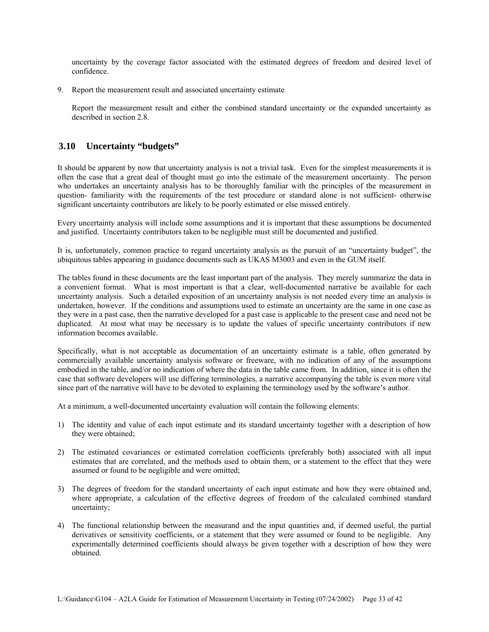uncertainty by the coverage factor associated with the estimated degrees of freedom and desired level of confidence.

9. Report the measurement result and associated uncertainty estimate

Report the measurement result and either the combined standard uncertainty or the expanded uncertainty as described in section 2.8.

## **3.10 Uncertainty "budgets"**

It should be apparent by now that uncertainty analysis is not a trivial task. Even for the simplest measurements it is often the case that a great deal of thought must go into the estimate of the measurement uncertainty. The person who undertakes an uncertainty analysis has to be thoroughly familiar with the principles of the measurement in question- familiarity with the requirements of the test procedure or standard alone is not sufficient- otherwise significant uncertainty contributors are likely to be poorly estimated or else missed entirely.

Every uncertainty analysis will include some assumptions and it is important that these assumptions be documented and justified. Uncertainty contributors taken to be negligible must still be documented and justified.

It is, unfortunately, common practice to regard uncertainty analysis as the pursuit of an "uncertainty budget", the ubiquitous tables appearing in guidance documents such as UKAS M3003 and even in the GUM itself.

The tables found in these documents are the least important part of the analysis. They merely summarize the data in a convenient format. What is most important is that a clear, well-documented narrative be available for each uncertainty analysis. Such a detailed exposition of an uncertainty analysis is not needed every time an analysis is undertaken, however. If the conditions and assumptions used to estimate an uncertainty are the same in one case as they were in a past case, then the narrative developed for a past case is applicable to the present case and need not be duplicated. At most what may be necessary is to update the values of specific uncertainty contributors if new information becomes available.

Specifically, what is not acceptable as documentation of an uncertainty estimate is a table, often generated by commercially available uncertainty analysis software or freeware, with no indication of any of the assumptions embodied in the table, and/or no indication of where the data in the table came from. In addition, since it is often the case that software developers will use differing terminologies, a narrative accompanying the table is even more vital since part of the narrative will have to be devoted to explaining the terminology used by the software's author.

At a minimum, a well-documented uncertainty evaluation will contain the following elements:

- 1) The identity and value of each input estimate and its standard uncertainty together with a description of how they were obtained;
- 2) The estimated covariances or estimated correlation coefficients (preferably both) associated with all input estimates that are correlated, and the methods used to obtain them, or a statement to the effect that they were assumed or found to be negligible and were omitted;
- 3) The degrees of freedom for the standard uncertainty of each input estimate and how they were obtained and, where appropriate, a calculation of the effective degrees of freedom of the calculated combined standard uncertainty;
- 4) The functional relationship between the measurand and the input quantities and, if deemed useful, the partial derivatives or sensitivity coefficients, or a statement that they were assumed or found to be negligible. Any experimentally determined coefficients should always be given together with a description of how they were obtained.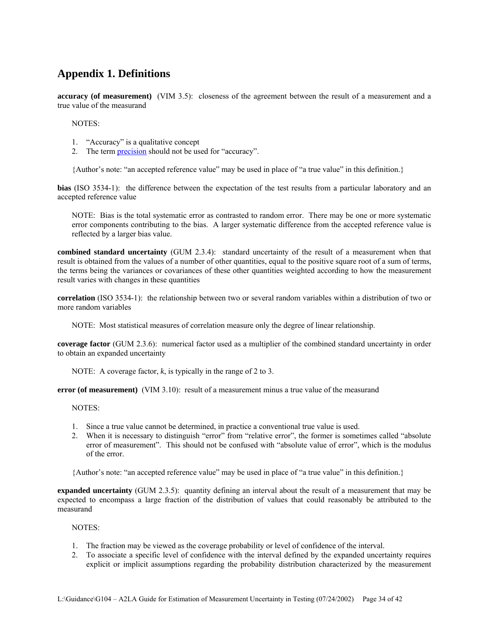# **Appendix 1. Definitions**

**accuracy (of measurement)** (VIM 3.5): closeness of the agreement between the result of a measurement and a true value of the measurand

NOTES:

- 1. "Accuracy" is a qualitative concept
- 2. The term precision should not be used for "accuracy".

{Author's note: "an accepted reference value" may be used in place of "a true value" in this definition.}

**bias** (ISO 3534-1): the difference between the expectation of the test results from a particular laboratory and an accepted reference value

NOTE: Bias is the total systematic error as contrasted to random error. There may be one or more systematic error components contributing to the bias. A larger systematic difference from the accepted reference value is reflected by a larger bias value.

**combined standard uncertainty** (GUM 2.3.4): standard uncertainty of the result of a measurement when that result is obtained from the values of a number of other quantities, equal to the positive square root of a sum of terms, the terms being the variances or covariances of these other quantities weighted according to how the measurement result varies with changes in these quantities

**correlation** (ISO 3534-1): the relationship between two or several random variables within a distribution of two or more random variables

NOTE: Most statistical measures of correlation measure only the degree of linear relationship.

**coverage factor** (GUM 2.3.6): numerical factor used as a multiplier of the combined standard uncertainty in order to obtain an expanded uncertainty

NOTE: A coverage factor, *k*, is typically in the range of 2 to 3.

**error (of measurement)** (VIM 3.10): result of a measurement minus a true value of the measurand

NOTES:

- 1. Since a true value cannot be determined, in practice a conventional true value is used.
- 2. When it is necessary to distinguish "error" from "relative error", the former is sometimes called "absolute error of measurement". This should not be confused with "absolute value of error", which is the modulus of the error.

{Author's note: "an accepted reference value" may be used in place of "a true value" in this definition.}

**expanded uncertainty** (GUM 2.3.5): quantity defining an interval about the result of a measurement that may be expected to encompass a large fraction of the distribution of values that could reasonably be attributed to the measurand

NOTES:

- 1. The fraction may be viewed as the coverage probability or level of confidence of the interval.
- 2. To associate a specific level of confidence with the interval defined by the expanded uncertainty requires explicit or implicit assumptions regarding the probability distribution characterized by the measurement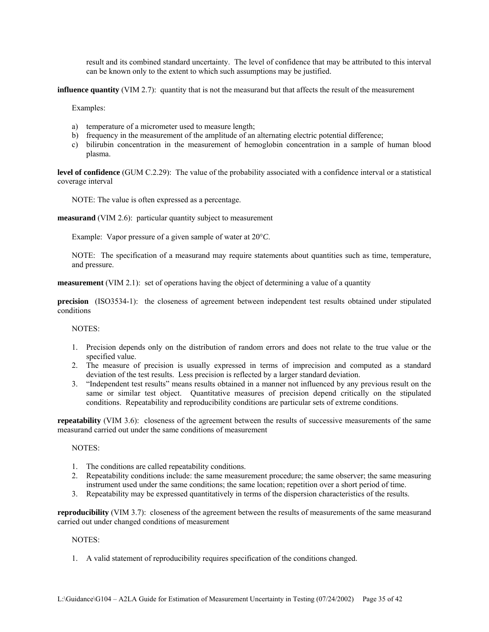result and its combined standard uncertainty. The level of confidence that may be attributed to this interval can be known only to the extent to which such assumptions may be justified.

**influence quantity** (VIM 2.7): quantity that is not the measurand but that affects the result of the measurement

Examples:

- a) temperature of a micrometer used to measure length;
- b) frequency in the measurement of the amplitude of an alternating electric potential difference;
- c) bilirubin concentration in the measurement of hemoglobin concentration in a sample of human blood plasma.

**level of confidence** (GUM C.2.29): The value of the probability associated with a confidence interval or a statistical coverage interval

NOTE: The value is often expressed as a percentage.

**measurand** (VIM 2.6): particular quantity subject to measurement

Example: Vapor pressure of a given sample of water at 20°*C*.

NOTE: The specification of a measurand may require statements about quantities such as time, temperature, and pressure.

**measurement** (VIM 2.1): set of operations having the object of determining a value of a quantity

**precision** (ISO3534-1): the closeness of agreement between independent test results obtained under stipulated conditions

NOTES:

- 1. Precision depends only on the distribution of random errors and does not relate to the true value or the specified value.
- 2. The measure of precision is usually expressed in terms of imprecision and computed as a standard deviation of the test results. Less precision is reflected by a larger standard deviation.
- 3. "Independent test results" means results obtained in a manner not influenced by any previous result on the same or similar test object. Quantitative measures of precision depend critically on the stipulated conditions. Repeatability and reproducibility conditions are particular sets of extreme conditions.

**repeatability** (VIM 3.6): closeness of the agreement between the results of successive measurements of the same measurand carried out under the same conditions of measurement

NOTES:

- 1. The conditions are called repeatability conditions.
- 2. Repeatability conditions include: the same measurement procedure; the same observer; the same measuring instrument used under the same conditions; the same location; repetition over a short period of time.
- 3. Repeatability may be expressed quantitatively in terms of the dispersion characteristics of the results.

**reproducibility** (VIM 3.7): closeness of the agreement between the results of measurements of the same measurand carried out under changed conditions of measurement

NOTES:

1. A valid statement of reproducibility requires specification of the conditions changed.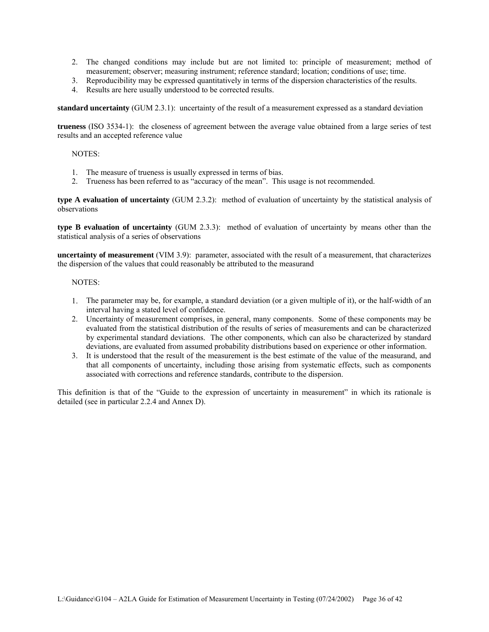- 2. The changed conditions may include but are not limited to: principle of measurement; method of measurement; observer; measuring instrument; reference standard; location; conditions of use; time.
- 3. Reproducibility may be expressed quantitatively in terms of the dispersion characteristics of the results.
- 4. Results are here usually understood to be corrected results.

**standard uncertainty** (GUM 2.3.1): uncertainty of the result of a measurement expressed as a standard deviation

**trueness** (ISO 3534-1): the closeness of agreement between the average value obtained from a large series of test results and an accepted reference value

#### NOTES:

- 1. The measure of trueness is usually expressed in terms of bias.
- 2. Trueness has been referred to as "accuracy of the mean". This usage is not recommended.

**type A evaluation of uncertainty** (GUM 2.3.2): method of evaluation of uncertainty by the statistical analysis of observations

**type B evaluation of uncertainty** (GUM 2.3.3): method of evaluation of uncertainty by means other than the statistical analysis of a series of observations

**uncertainty of measurement** (VIM 3.9): parameter, associated with the result of a measurement, that characterizes the dispersion of the values that could reasonably be attributed to the measurand

#### NOTES:

- 1. The parameter may be, for example, a standard deviation (or a given multiple of it), or the half-width of an interval having a stated level of confidence.
- 2. Uncertainty of measurement comprises, in general, many components. Some of these components may be evaluated from the statistical distribution of the results of series of measurements and can be characterized by experimental standard deviations. The other components, which can also be characterized by standard deviations, are evaluated from assumed probability distributions based on experience or other information.
- 3. It is understood that the result of the measurement is the best estimate of the value of the measurand, and that all components of uncertainty, including those arising from systematic effects, such as components associated with corrections and reference standards, contribute to the dispersion.

This definition is that of the "Guide to the expression of uncertainty in measurement" in which its rationale is detailed (see in particular 2.2.4 and Annex D).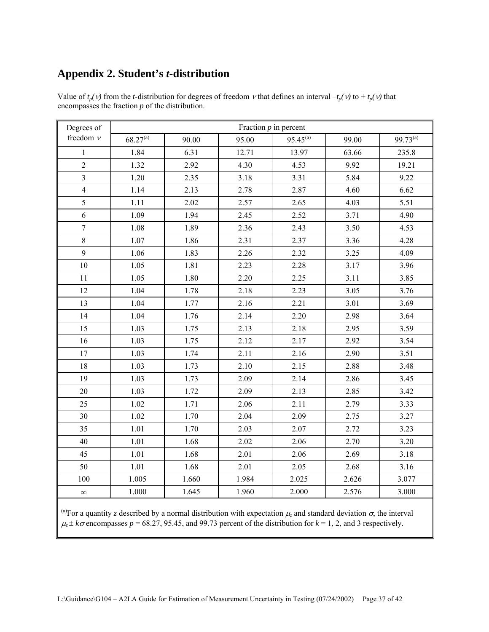# **Appendix 2. Student's** *t***-distribution**

| Degrees of       |               |       | Fraction $p$ in percent |               |       |               |
|------------------|---------------|-------|-------------------------|---------------|-------|---------------|
| freedom $\nu$    | $68.27^{(a)}$ | 90.00 | 95.00                   | $95.45^{(a)}$ | 99.00 | $99.73^{(a)}$ |
| $\mathbf{1}$     | 1.84          | 6.31  | 12.71                   | 13.97         | 63.66 | 235.8         |
| $\overline{2}$   | 1.32          | 2.92  | 4.30                    | 4.53          | 9.92  | 19.21         |
| $\overline{3}$   | 1.20          | 2.35  | 3.18                    | 3.31          | 5.84  | 9.22          |
| $\overline{4}$   | 1.14          | 2.13  | 2.78                    | 2.87          | 4.60  | 6.62          |
| 5                | 1.11          | 2.02  | 2.57                    | 2.65          | 4.03  | 5.51          |
| 6                | 1.09          | 1.94  | 2.45                    | 2.52          | 3.71  | 4.90          |
| $\boldsymbol{7}$ | 1.08          | 1.89  | 2.36                    | 2.43          | 3.50  | 4.53          |
| 8                | 1.07          | 1.86  | 2.31                    | 2.37          | 3.36  | 4.28          |
| 9                | 1.06          | 1.83  | 2.26                    | 2.32          | 3.25  | 4.09          |
| $10\,$           | 1.05          | 1.81  | 2.23                    | 2.28          | 3.17  | 3.96          |
| 11               | 1.05          | 1.80  | 2.20                    | 2.25          | 3.11  | 3.85          |
| 12               | 1.04          | 1.78  | 2.18                    | 2.23          | 3.05  | 3.76          |
| 13               | 1.04          | 1.77  | 2.16                    | 2.21          | 3.01  | 3.69          |
| 14               | 1.04          | 1.76  | 2.14                    | 2.20          | 2.98  | 3.64          |
| 15               | 1.03          | 1.75  | 2.13                    | 2.18          | 2.95  | 3.59          |
| 16               | 1.03          | 1.75  | 2.12                    | 2.17          | 2.92  | 3.54          |
| 17               | 1.03          | 1.74  | 2.11                    | 2.16          | 2.90  | 3.51          |
| 18               | 1.03          | 1.73  | 2.10                    | 2.15          | 2.88  | 3.48          |
| 19               | 1.03          | 1.73  | 2.09                    | 2.14          | 2.86  | 3.45          |
| 20               | 1.03          | 1.72  | 2.09                    | 2.13          | 2.85  | 3.42          |
| 25               | 1.02          | 1.71  | 2.06                    | 2.11          | 2.79  | 3.33          |
| 30               | 1.02          | 1.70  | 2.04                    | 2.09          | 2.75  | 3.27          |
| 35               | 1.01          | 1.70  | 2.03                    | 2.07          | 2.72  | 3.23          |
| 40               | 1.01          | 1.68  | 2.02                    | 2.06          | 2.70  | 3.20          |
| 45               | 1.01          | 1.68  | 2.01                    | 2.06          | 2.69  | 3.18          |
| 50               | 1.01          | 1.68  | 2.01                    | 2.05          | 2.68  | 3.16          |
| 100              | 1.005         | 1.660 | 1.984                   | 2.025         | 2.626 | 3.077         |
| $\infty$         | 1.000         | 1.645 | 1.960                   | 2.000         | 2.576 | 3.000         |

Value of  $t_p(v)$  from the *t*-distribution for degrees of freedom *v* that defines an interval  $-t_p(v)$  to  $+t_p(v)$  that encompasses the fraction *p* of the distribution.

<sup>(a)</sup>For a quantity *z* described by a normal distribution with expectation  $\mu$ <sub>z</sub> and standard deviation  $\sigma$ , the interval  $\mu_z \pm k\sigma$  encompasses  $p = 68.27$ , 95.45, and 99.73 percent of the distribution for  $k = 1, 2$ , and 3 respectively.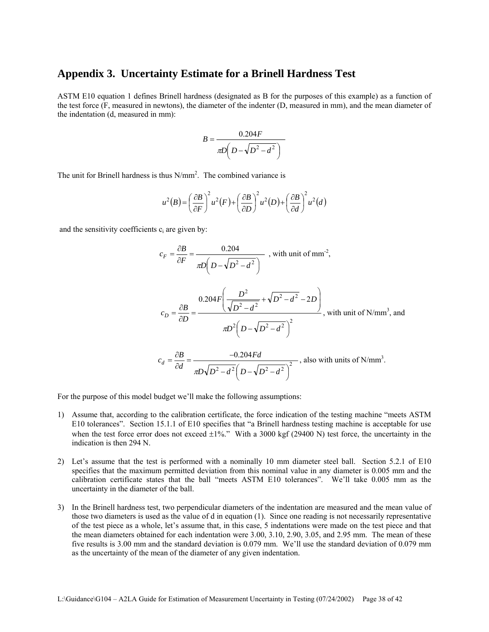## **Appendix 3. Uncertainty Estimate for a Brinell Hardness Test**

ASTM E10 equation 1 defines Brinell hardness (designated as B for the purposes of this example) as a function of the test force (F, measured in newtons), the diameter of the indenter (D, measured in mm), and the mean diameter of the indentation (d, measured in mm):

$$
B = \frac{0.204F}{\pi D\left(D - \sqrt{D^2 - d^2}\right)}
$$

The unit for Brinell hardness is thus  $N/mm^2$ . The combined variance is

$$
u^{2}(B) = \left(\frac{\partial B}{\partial F}\right)^{2} u^{2}(F) + \left(\frac{\partial B}{\partial D}\right)^{2} u^{2}(D) + \left(\frac{\partial B}{\partial d}\right)^{2} u^{2}(d)
$$

and the sensitivity coefficients  $c_i$  are given by:

$$
c_F = \frac{\partial B}{\partial F} = \frac{0.204}{\pi D \left(D - \sqrt{D^2 - d^2}\right)} \text{ , with unit of mm}^2,
$$
  

$$
c_D = \frac{\partial B}{\partial D} = \frac{0.204 F \left(\frac{D^2}{\sqrt{D^2 - d^2}} + \sqrt{D^2 - d^2} - 2D\right)}{\pi D^2 \left(D - \sqrt{D^2 - d^2}\right)^2}, \text{ with unit of N/mm}^3, \text{ and}
$$

$$
c_d = \frac{\partial B}{\partial d} = \frac{-0.204 F d}{\pi D \sqrt{D^2 - d^2} \left(D - \sqrt{D^2 - d^2}\right)^2}, \text{ also with units of N/mm}^3.
$$

For the purpose of this model budget we'll make the following assumptions:

- 1) Assume that, according to the calibration certificate, the force indication of the testing machine "meets ASTM E10 tolerances". Section 15.1.1 of E10 specifies that "a Brinell hardness testing machine is acceptable for use when the test force error does not exceed  $\pm 1\%$ ." With a 3000 kgf (29400 N) test force, the uncertainty in the indication is then 294 N.
- 2) Let's assume that the test is performed with a nominally 10 mm diameter steel ball. Section 5.2.1 of E10 specifies that the maximum permitted deviation from this nominal value in any diameter is 0.005 mm and the calibration certificate states that the ball "meets ASTM E10 tolerances". We'll take 0.005 mm as the uncertainty in the diameter of the ball.
- 3) In the Brinell hardness test, two perpendicular diameters of the indentation are measured and the mean value of those two diameters is used as the value of d in equation (1). Since one reading is not necessarily representative of the test piece as a whole, let's assume that, in this case, 5 indentations were made on the test piece and that the mean diameters obtained for each indentation were 3.00, 3.10, 2.90, 3.05, and 2.95 mm. The mean of these five results is 3.00 mm and the standard deviation is 0.079 mm. We'll use the standard deviation of 0.079 mm as the uncertainty of the mean of the diameter of any given indentation.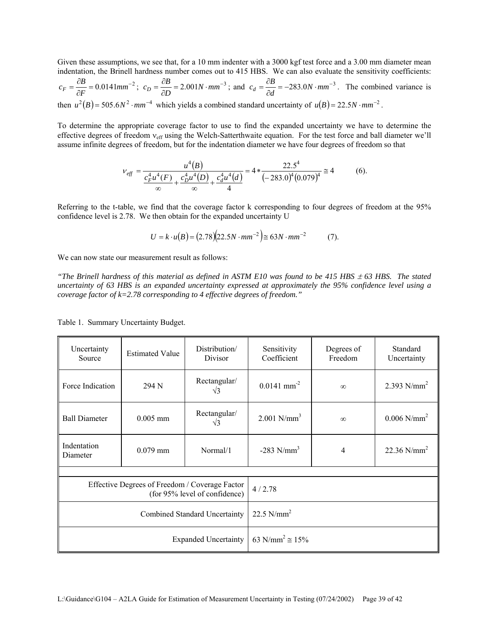Given these assumptions, we see that, for a 10 mm indenter with a 3000 kgf test force and a 3.00 mm diameter mean indentation, the Brinell hardness number comes out to 415 HBS. We can also evaluate the sensitivity coefficients:

$$
c_F = \frac{\partial B}{\partial F} = 0.0141 \text{mm}^{-2}; \ c_D = \frac{\partial B}{\partial D} = 2.001N \cdot \text{mm}^{-3}; \text{ and } c_d = \frac{\partial B}{\partial d} = -283.0N \cdot \text{mm}^{-3}.
$$
 The combined variance is

then  $u^2(B) = 505.6 N^2 \cdot mm^{-4}$  which yields a combined standard uncertainty of  $u(B) = 22.5 N \cdot mm^{-2}$ .

To determine the appropriate coverage factor to use to find the expanded uncertainty we have to determine the effective degrees of freedom ν<sub>eff</sub> using the Welch-Satterthwaite equation. For the test force and ball diameter we'll assume infinite degrees of freedom, but for the indentation diameter we have four degrees of freedom so that

$$
v_{\text{eff}} = \frac{u^4(B)}{\frac{c_F^4 u^4(F)}{\infty} + \frac{c_D^4 u^4(D)}{\infty} + \frac{c_d^4 u^4(d)}{4}} = 4 * \frac{22.5^4}{(-283.0)^4 (0.079)^4} \approx 4
$$
 (6).

Referring to the t-table, we find that the coverage factor k corresponding to four degrees of freedom at the 95% confidence level is 2.78. We then obtain for the expanded uncertainty U

$$
U = k \cdot u(B) = (2.78)(22.5N \cdot mm^{-2}) \approx 63N \cdot mm^{-2}
$$
 (7).

We can now state our measurement result as follows:

*"The Brinell hardness of this material as defined in ASTM E10 was found to be 415 HBS*  $\pm$  *63 HBS. The stated uncertainty of 63 HBS is an expanded uncertainty expressed at approximately the 95% confidence level using a coverage factor of k=2.78 corresponding to 4 effective degrees of freedom."*

| Uncertainty<br>Source                                                           | <b>Estimated Value</b> | Distribution/<br>Divisor      | Sensitivity<br>Coefficient         | Degrees of<br>Freedom | Standard<br>Uncertainty   |
|---------------------------------------------------------------------------------|------------------------|-------------------------------|------------------------------------|-----------------------|---------------------------|
| Force Indication                                                                | 294 N                  | Rectangular/<br>$\sqrt{3}$    | $0.0141$ mm <sup>-2</sup>          | $\infty$              | 2.393 $N/mm^2$            |
| <b>Ball Diameter</b>                                                            | $0.005$ mm             | Rectangular/<br>$\sqrt{3}$    | $2.001$ N/mm <sup>3</sup>          | $\infty$              | $0.006$ N/mm <sup>2</sup> |
| Indentation<br>Diameter                                                         | $0.079$ mm             | Normal/1                      | $-283$ N/mm <sup>3</sup>           | 4                     | 22.36 $N/mm^2$            |
|                                                                                 |                        |                               |                                    |                       |                           |
| Effective Degrees of Freedom / Coverage Factor<br>(for 95% level of confidence) |                        |                               | 4/2.78                             |                       |                           |
|                                                                                 |                        | Combined Standard Uncertainty | 22.5 $N/mm^2$                      |                       |                           |
|                                                                                 |                        | <b>Expanded Uncertainty</b>   | 63 N/mm <sup>2</sup> $\approx$ 15% |                       |                           |

Table 1. Summary Uncertainty Budget.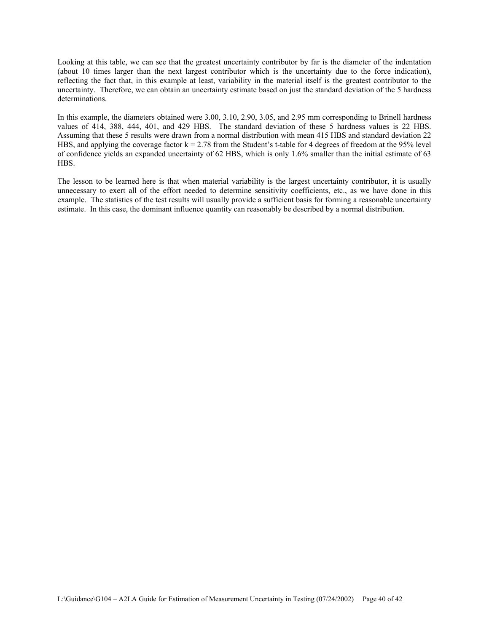Looking at this table, we can see that the greatest uncertainty contributor by far is the diameter of the indentation (about 10 times larger than the next largest contributor which is the uncertainty due to the force indication), reflecting the fact that, in this example at least, variability in the material itself is the greatest contributor to the uncertainty. Therefore, we can obtain an uncertainty estimate based on just the standard deviation of the 5 hardness determinations.

In this example, the diameters obtained were 3.00, 3.10, 2.90, 3.05, and 2.95 mm corresponding to Brinell hardness values of 414, 388, 444, 401, and 429 HBS. The standard deviation of these 5 hardness values is 22 HBS. Assuming that these 5 results were drawn from a normal distribution with mean 415 HBS and standard deviation 22 HBS, and applying the coverage factor  $k = 2.78$  from the Student's t-table for 4 degrees of freedom at the 95% level of confidence yields an expanded uncertainty of 62 HBS, which is only 1.6% smaller than the initial estimate of 63 HBS.

The lesson to be learned here is that when material variability is the largest uncertainty contributor, it is usually unnecessary to exert all of the effort needed to determine sensitivity coefficients, etc., as we have done in this example. The statistics of the test results will usually provide a sufficient basis for forming a reasonable uncertainty estimate. In this case, the dominant influence quantity can reasonably be described by a normal distribution.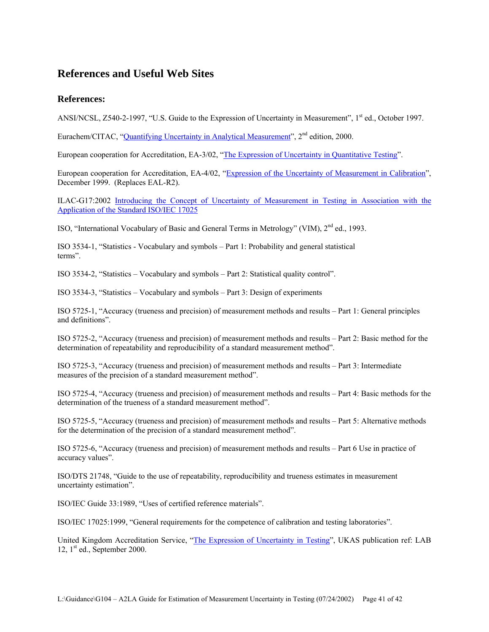# **References and Useful Web Sites**

### **References:**

ANSI/NCSL, Z540-2-1997, "U.S. Guide to the Expression of Uncertainty in Measurement", 1st ed., October 1997.

Eurachem/CITAC, "Quantifying Uncertainty in Analytical Measurement", 2<sup>nd</sup> edition, 2000.

European cooperation for Accreditation, EA-3/02, "The Expression of Uncertainty in Quantitative Testing".

European cooperation for Accreditation, EA-4/02, "Expression of the Uncertainty of Measurement in Calibration", December 1999. (Replaces EAL-R2).

ILAC-G17:2002 Introducing the Concept of Uncertainty of Measurement in Testing in Association with the Application of the Standard ISO/IEC 17025

ISO, "International Vocabulary of Basic and General Terms in Metrology" (VIM), 2nd ed., 1993.

ISO 3534-1, "Statistics - Vocabulary and symbols – Part 1: Probability and general statistical terms".

ISO 3534-2, "Statistics – Vocabulary and symbols – Part 2: Statistical quality control".

ISO 3534-3, "Statistics – Vocabulary and symbols – Part 3: Design of experiments

ISO 5725-1, "Accuracy (trueness and precision) of measurement methods and results – Part 1: General principles and definitions".

ISO 5725-2, "Accuracy (trueness and precision) of measurement methods and results – Part 2: Basic method for the determination of repeatability and reproducibility of a standard measurement method".

ISO 5725-3, "Accuracy (trueness and precision) of measurement methods and results – Part 3: Intermediate measures of the precision of a standard measurement method".

ISO 5725-4, "Accuracy (trueness and precision) of measurement methods and results – Part 4: Basic methods for the determination of the trueness of a standard measurement method".

ISO 5725-5, "Accuracy (trueness and precision) of measurement methods and results – Part 5: Alternative methods for the determination of the precision of a standard measurement method".

ISO 5725-6, "Accuracy (trueness and precision) of measurement methods and results – Part 6 Use in practice of accuracy values".

ISO/DTS 21748, "Guide to the use of repeatability, reproducibility and trueness estimates in measurement uncertainty estimation".

ISO/IEC Guide 33:1989, "Uses of certified reference materials".

ISO/IEC 17025:1999, "General requirements for the competence of calibration and testing laboratories".

United Kingdom Accreditation Service, "The Expression of Uncertainty in Testing", UKAS publication ref: LAB 12,  $1<sup>st</sup>$  ed., September 2000.